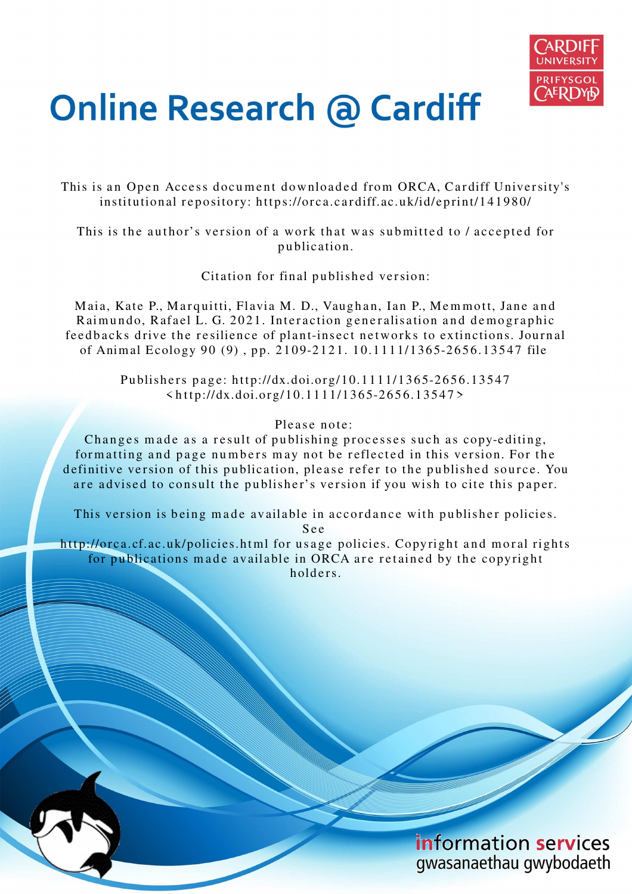

# **Online Research @ Cardiff**

This is an Open Access document downloaded from ORCA, Cardiff University's institutional repository: https://orca.cardiff.ac.uk/id/eprint/141980/

This is the author's version of a work that was submitted to / accepted for p u blication.

Citation for final published version:

Maia, Kate P., Marquitti, Flavia M. D., Vaughan, Ian P., Memmott, Jane and Raimundo, Rafael L. G. 2021. Interaction generalisation and demographic feedbacks drive the resilience of plant-insect networks to extinctions. Journal of Animal Ecology 90 (9), pp. 2109-2121. 10.1111/1365-2656.13547 file

> Publishers page: http://dx.doi.org/10.1111/1365-2656.13547  $\frac{\text{th}}{\text{ttp}}$ ://dx.doi.org/10.1111/1365-2656.13547>

# Please note:

Changes made as a result of publishing processes such as copy-editing, formatting and page numbers may not be reflected in this version. For the definitive version of this publication, please refer to the published source. You are advised to consult the publisher's version if you wish to cite this paper.

This version is being made available in accordance with publisher policies.

S e e

http://orca.cf.ac.uk/policies.html for usage policies. Copyright and moral rights for publications made available in ORCA are retained by the copyright holders



information services gwasanaethau gwybodaeth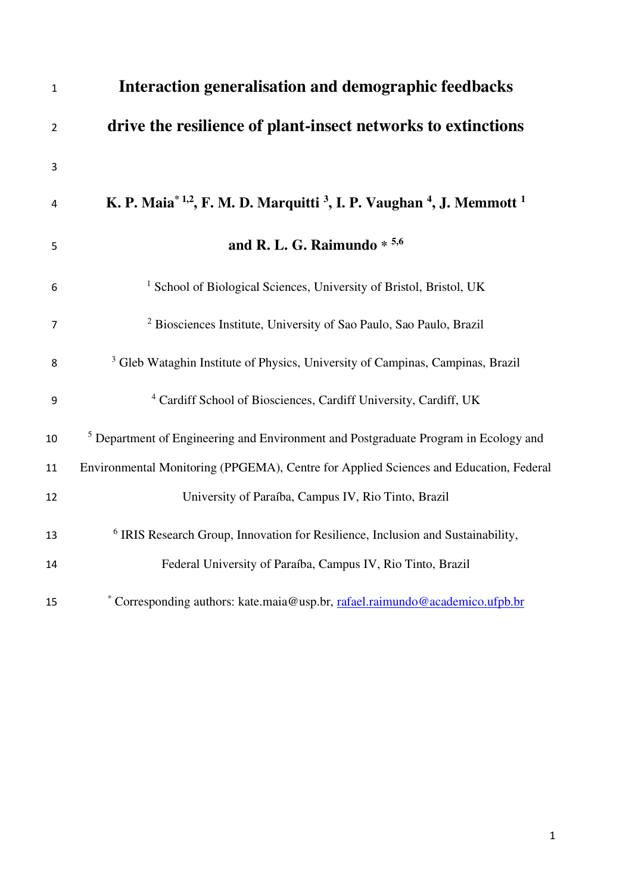| $\mathbf{1}$   | Interaction generalisation and demographic feedbacks                                                                 |
|----------------|----------------------------------------------------------------------------------------------------------------------|
| $\overline{2}$ | drive the resilience of plant-insect networks to extinctions                                                         |
| 3              |                                                                                                                      |
| 4              | K. P. Maia <sup>* 1,2</sup> , F. M. D. Marquitti <sup>3</sup> , I. P. Vaughan <sup>4</sup> , J. Memmott <sup>1</sup> |
| 5              | and R. L. G. Raimundo $*$ 5.6                                                                                        |
| 6              | <sup>1</sup> School of Biological Sciences, University of Bristol, Bristol, UK                                       |
| 7              | <sup>2</sup> Biosciences Institute, University of Sao Paulo, Sao Paulo, Brazil                                       |
| 8              | <sup>3</sup> Gleb Wataghin Institute of Physics, University of Campinas, Campinas, Brazil                            |
| 9              | <sup>4</sup> Cardiff School of Biosciences, Cardiff University, Cardiff, UK                                          |
| 10             | <sup>5</sup> Department of Engineering and Environment and Postgraduate Program in Ecology and                       |
| 11             | Environmental Monitoring (PPGEMA), Centre for Applied Sciences and Education, Federal                                |
| 12             | University of Paraíba, Campus IV, Rio Tinto, Brazil                                                                  |
| 13             | <sup>6</sup> IRIS Research Group, Innovation for Resilience, Inclusion and Sustainability,                           |
| 14             | Federal University of Paraíba, Campus IV, Rio Tinto, Brazil                                                          |
| 15             | * Corresponding authors: kate.maia@usp.br, rafael.raimundo@academico.ufpb.br                                         |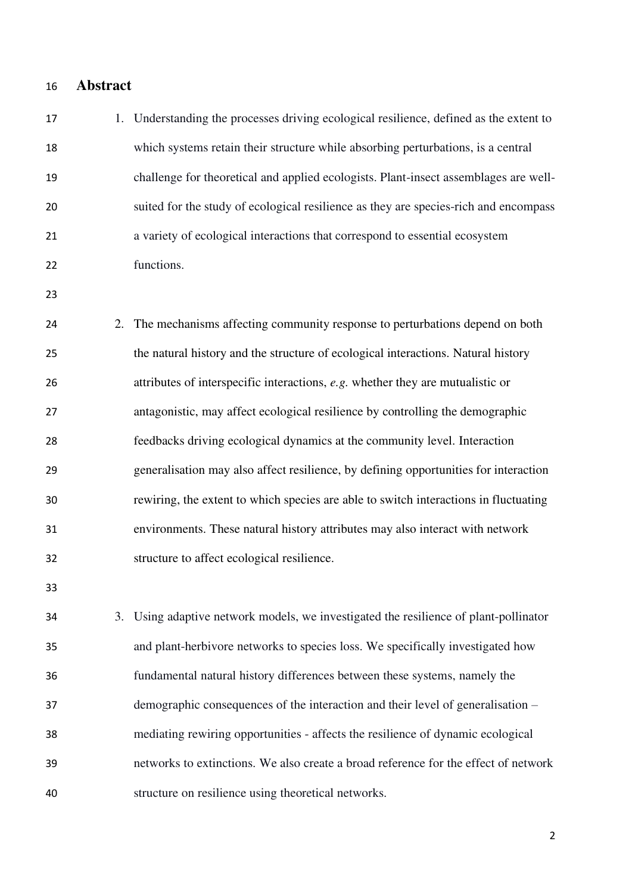- **Abstract**
- 1. Understanding the processes driving ecological resilience, defined as the extent to which systems retain their structure while absorbing perturbations, is a central challenge for theoretical and applied ecologists. Plant-insect assemblages are well- suited for the study of ecological resilience as they are species-rich and encompass a variety of ecological interactions that correspond to essential ecosystem functions. 2. The mechanisms affecting community response to perturbations depend on both
- the natural history and the structure of ecological interactions. Natural history attributes of interspecific interactions, *e.g.* whether they are mutualistic or antagonistic, may affect ecological resilience by controlling the demographic feedbacks driving ecological dynamics at the community level. Interaction generalisation may also affect resilience, by defining opportunities for interaction rewiring, the extent to which species are able to switch interactions in fluctuating environments. These natural history attributes may also interact with network structure to affect ecological resilience.
- 

 3. Using adaptive network models, we investigated the resilience of plant-pollinator and plant-herbivore networks to species loss. We specifically investigated how fundamental natural history differences between these systems, namely the demographic consequences of the interaction and their level of generalisation – mediating rewiring opportunities - affects the resilience of dynamic ecological networks to extinctions. We also create a broad reference for the effect of network structure on resilience using theoretical networks.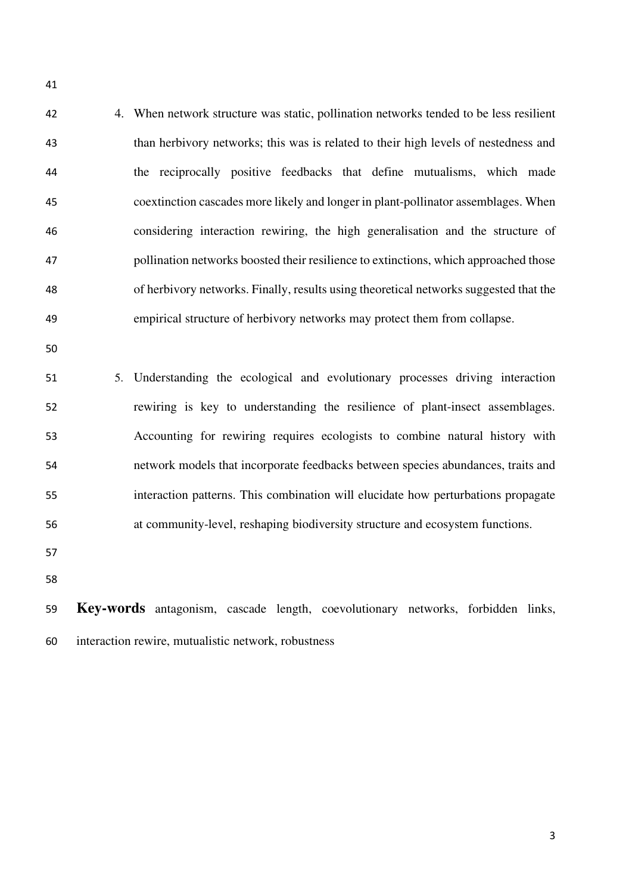4. When network structure was static, pollination networks tended to be less resilient than herbivory networks; this was is related to their high levels of nestedness and the reciprocally positive feedbacks that define mutualisms, which made coextinction cascades more likely and longer in plant-pollinator assemblages. When considering interaction rewiring, the high generalisation and the structure of pollination networks boosted their resilience to extinctions, which approached those of herbivory networks. Finally, results using theoretical networks suggested that the empirical structure of herbivory networks may protect them from collapse.

 5. Understanding the ecological and evolutionary processes driving interaction rewiring is key to understanding the resilience of plant-insect assemblages. Accounting for rewiring requires ecologists to combine natural history with network models that incorporate feedbacks between species abundances, traits and interaction patterns. This combination will elucidate how perturbations propagate at community-level, reshaping biodiversity structure and ecosystem functions.

- 
- 

 **Key-words** antagonism, cascade length, coevolutionary networks, forbidden links, interaction rewire, mutualistic network, robustness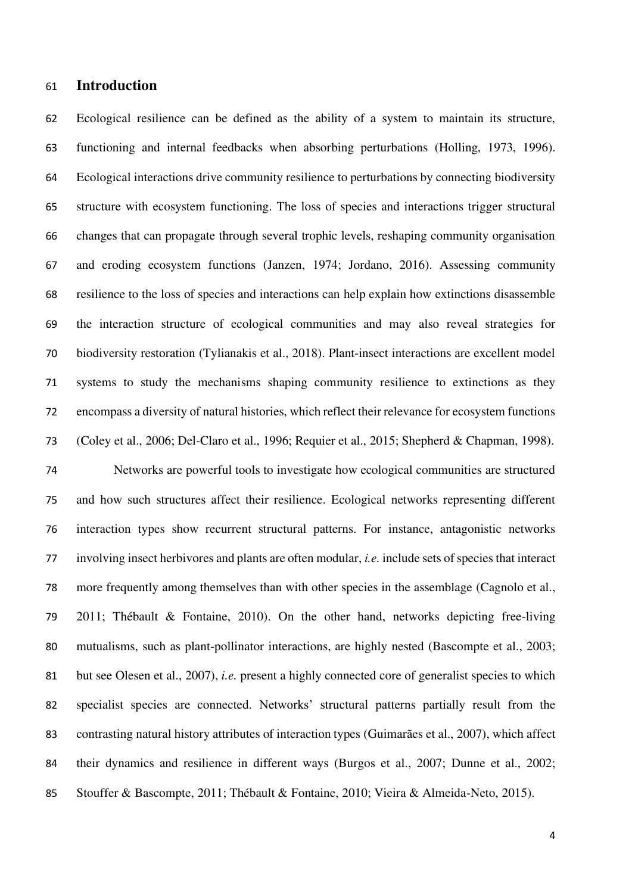## **Introduction**

 Ecological resilience can be defined as the ability of a system to maintain its structure, functioning and internal feedbacks when absorbing perturbations (Holling, 1973, 1996). Ecological interactions drive community resilience to perturbations by connecting biodiversity structure with ecosystem functioning. The loss of species and interactions trigger structural changes that can propagate through several trophic levels, reshaping community organisation and eroding ecosystem functions (Janzen, 1974; Jordano, 2016). Assessing community resilience to the loss of species and interactions can help explain how extinctions disassemble the interaction structure of ecological communities and may also reveal strategies for biodiversity restoration (Tylianakis et al., 2018). Plant-insect interactions are excellent model systems to study the mechanisms shaping community resilience to extinctions as they encompass a diversity of natural histories, which reflect their relevance for ecosystem functions (Coley et al., 2006; Del-Claro et al., 1996; Requier et al., 2015; Shepherd & Chapman, 1998).

 Networks are powerful tools to investigate how ecological communities are structured and how such structures affect their resilience. Ecological networks representing different interaction types show recurrent structural patterns. For instance, antagonistic networks involving insect herbivores and plants are often modular, *i.e.* include sets of species that interact more frequently among themselves than with other species in the assemblage (Cagnolo et al., 2011; Thébault & Fontaine, 2010). On the other hand, networks depicting free-living mutualisms, such as plant-pollinator interactions, are highly nested (Bascompte et al., 2003; but see Olesen et al., 2007), *i.e.* present a highly connected core of generalist species to which specialist species are connected. Networks' structural patterns partially result from the contrasting natural history attributes of interaction types (Guimarães et al., 2007), which affect their dynamics and resilience in different ways (Burgos et al., 2007; Dunne et al., 2002; Stouffer & Bascompte, 2011; Thébault & Fontaine, 2010; Vieira & Almeida-Neto, 2015).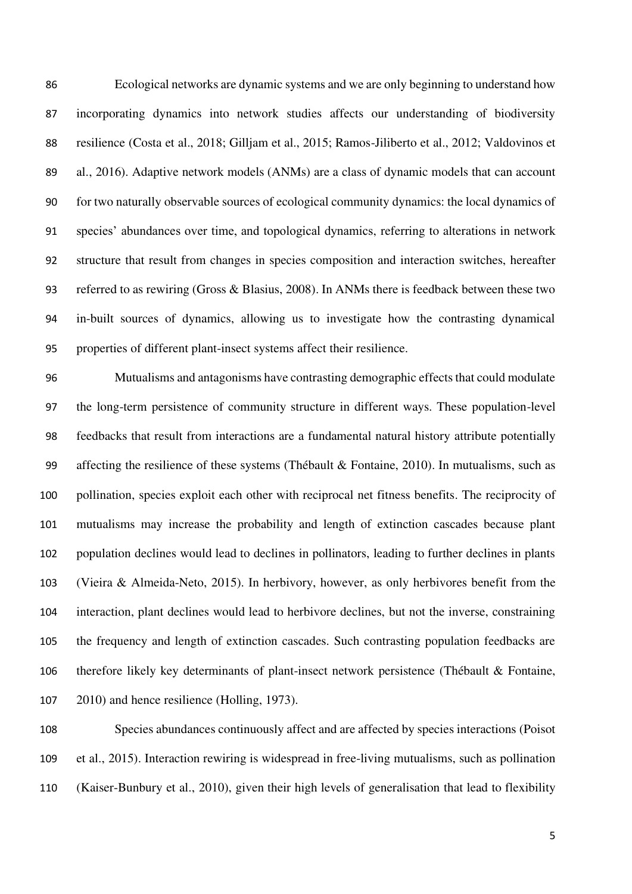Ecological networks are dynamic systems and we are only beginning to understand how incorporating dynamics into network studies affects our understanding of biodiversity resilience (Costa et al., 2018; Gilljam et al., 2015; Ramos-Jiliberto et al., 2012; Valdovinos et al., 2016). Adaptive network models (ANMs) are a class of dynamic models that can account for two naturally observable sources of ecological community dynamics: the local dynamics of species' abundances over time, and topological dynamics, referring to alterations in network structure that result from changes in species composition and interaction switches, hereafter referred to as rewiring (Gross & Blasius, 2008). In ANMs there is feedback between these two in-built sources of dynamics, allowing us to investigate how the contrasting dynamical properties of different plant-insect systems affect their resilience.

 Mutualisms and antagonisms have contrasting demographic effects that could modulate the long-term persistence of community structure in different ways. These population-level feedbacks that result from interactions are a fundamental natural history attribute potentially 99 affecting the resilience of these systems (Thébault & Fontaine, 2010). In mutualisms, such as pollination, species exploit each other with reciprocal net fitness benefits. The reciprocity of mutualisms may increase the probability and length of extinction cascades because plant population declines would lead to declines in pollinators, leading to further declines in plants (Vieira & Almeida-Neto, 2015). In herbivory, however, as only herbivores benefit from the interaction, plant declines would lead to herbivore declines, but not the inverse, constraining the frequency and length of extinction cascades. Such contrasting population feedbacks are therefore likely key determinants of plant-insect network persistence (Thébault & Fontaine, 2010) and hence resilience (Holling, 1973).

 Species abundances continuously affect and are affected by species interactions (Poisot et al., 2015). Interaction rewiring is widespread in free-living mutualisms, such as pollination (Kaiser-Bunbury et al., 2010), given their high levels of generalisation that lead to flexibility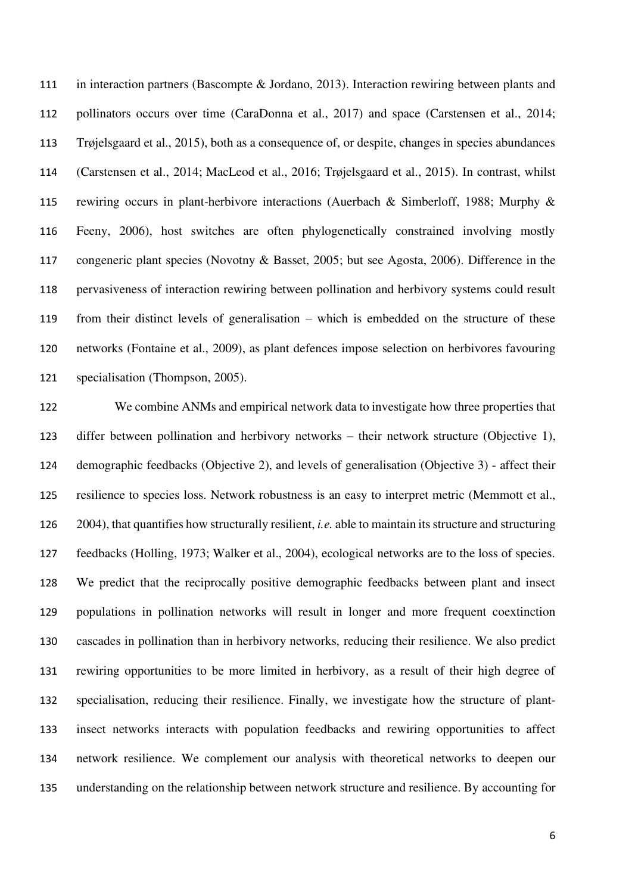in interaction partners (Bascompte & Jordano, 2013). Interaction rewiring between plants and 112 pollinators occurs over time (CaraDonna et al., 2017) and space (Carstensen et al., 2014; Trøjelsgaard et al., 2015), both as a consequence of, or despite, changes in species abundances (Carstensen et al., 2014; MacLeod et al., 2016; Trøjelsgaard et al., 2015). In contrast, whilst rewiring occurs in plant-herbivore interactions (Auerbach & Simberloff, 1988; Murphy & Feeny, 2006), host switches are often phylogenetically constrained involving mostly congeneric plant species (Novotny & Basset, 2005; but see Agosta, 2006). Difference in the pervasiveness of interaction rewiring between pollination and herbivory systems could result from their distinct levels of generalisation – which is embedded on the structure of these networks (Fontaine et al., 2009), as plant defences impose selection on herbivores favouring specialisation (Thompson, 2005).

 We combine ANMs and empirical network data to investigate how three properties that differ between pollination and herbivory networks – their network structure (Objective 1), demographic feedbacks (Objective 2), and levels of generalisation (Objective 3) - affect their resilience to species loss. Network robustness is an easy to interpret metric (Memmott et al., 2004), that quantifies how structurally resilient, *i.e.* able to maintain its structure and structuring feedbacks (Holling, 1973; Walker et al., 2004), ecological networks are to the loss of species. We predict that the reciprocally positive demographic feedbacks between plant and insect populations in pollination networks will result in longer and more frequent coextinction cascades in pollination than in herbivory networks, reducing their resilience. We also predict rewiring opportunities to be more limited in herbivory, as a result of their high degree of specialisation, reducing their resilience. Finally, we investigate how the structure of plant- insect networks interacts with population feedbacks and rewiring opportunities to affect network resilience. We complement our analysis with theoretical networks to deepen our understanding on the relationship between network structure and resilience. By accounting for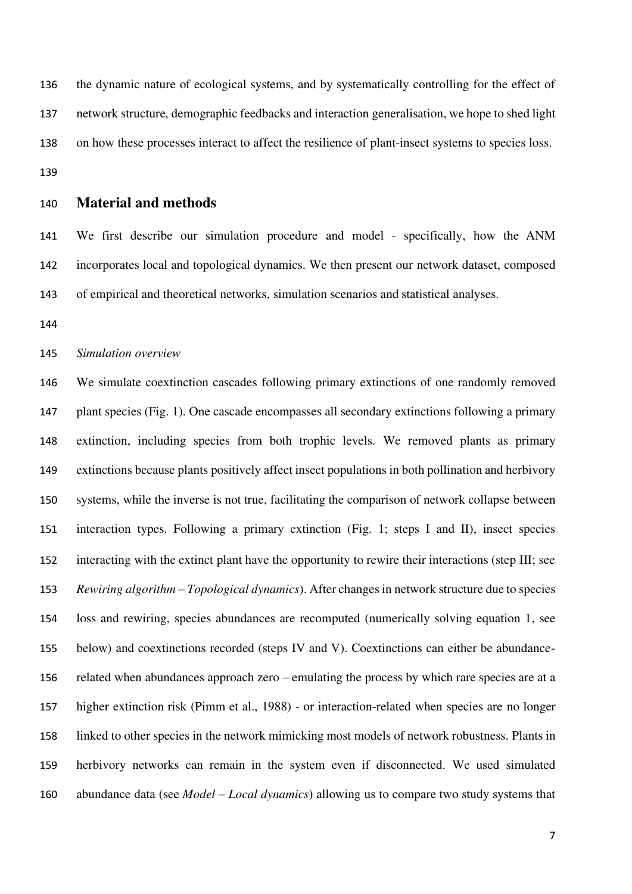the dynamic nature of ecological systems, and by systematically controlling for the effect of network structure, demographic feedbacks and interaction generalisation, we hope to shed light on how these processes interact to affect the resilience of plant-insect systems to species loss. 

#### **Material and methods**

 We first describe our simulation procedure and model - specifically, how the ANM incorporates local and topological dynamics. We then present our network dataset, composed of empirical and theoretical networks, simulation scenarios and statistical analyses.

#### *Simulation overview*

 We simulate coextinction cascades following primary extinctions of one randomly removed plant species (Fig. 1). One cascade encompasses all secondary extinctions following a primary extinction, including species from both trophic levels. We removed plants as primary extinctions because plants positively affect insect populations in both pollination and herbivory systems, while the inverse is not true, facilitating the comparison of network collapse between interaction types. Following a primary extinction (Fig. 1; steps I and II), insect species interacting with the extinct plant have the opportunity to rewire their interactions (step III; see *Rewiring algorithm – Topological dynamics*). After changes in network structure due to species loss and rewiring, species abundances are recomputed (numerically solving equation 1, see below) and coextinctions recorded (steps IV and V). Coextinctions can either be abundance- related when abundances approach zero – emulating the process by which rare species are at a higher extinction risk (Pimm et al., 1988) - or interaction-related when species are no longer linked to other species in the network mimicking most models of network robustness. Plants in herbivory networks can remain in the system even if disconnected. We used simulated 160 abundance data (see *Model – Local dynamics*) allowing us to compare two study systems that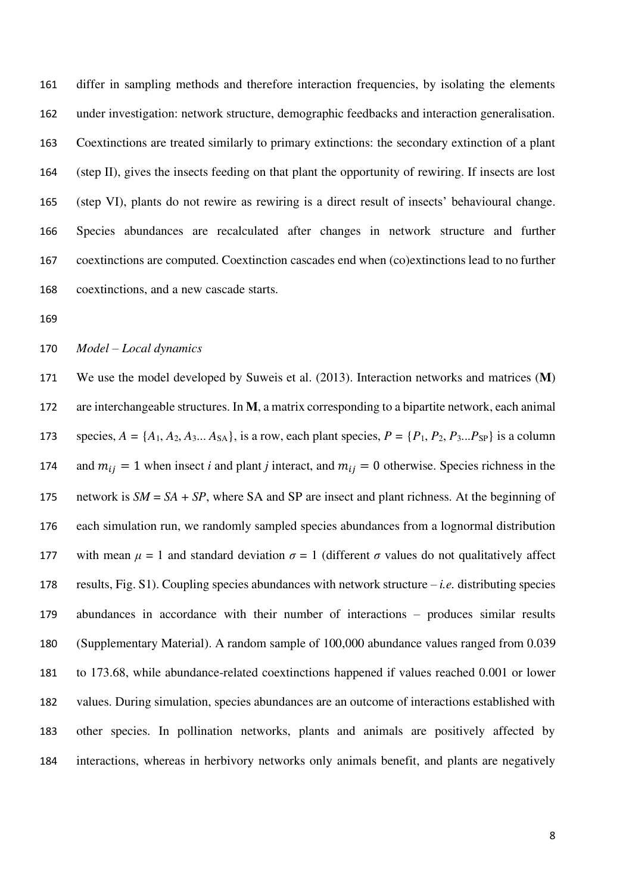differ in sampling methods and therefore interaction frequencies, by isolating the elements under investigation: network structure, demographic feedbacks and interaction generalisation. Coextinctions are treated similarly to primary extinctions: the secondary extinction of a plant (step II), gives the insects feeding on that plant the opportunity of rewiring. If insects are lost (step VI), plants do not rewire as rewiring is a direct result of insects' behavioural change. Species abundances are recalculated after changes in network structure and further coextinctions are computed. Coextinction cascades end when (co)extinctions lead to no further coextinctions, and a new cascade starts.

#### *Model – Local dynamics*

 We use the model developed by Suweis et al. (2013). Interaction networks and matrices (**M**) are interchangeable structures. In **M**, a matrix corresponding to a bipartite network, each animal 173 species,  $A = \{A_1, A_2, A_3, \ldots, A_{SA}\}\$ , is a row, each plant species,  $P = \{P_1, P_2, P_3, \ldots, P_{SP}\}\$ is a column 174 and  $m_{ij} = 1$  when insect *i* and plant *j* interact, and  $m_{ij} = 0$  otherwise. Species richness in the network is *SM* = *SA* + *SP*, where SA and SP are insect and plant richness. At the beginning of each simulation run, we randomly sampled species abundances from a lognormal distribution 177 with mean  $\mu = 1$  and standard deviation  $\sigma = 1$  (different  $\sigma$  values do not qualitatively affect results, Fig. S1). Coupling species abundances with network structure – *i.e.* distributing species abundances in accordance with their number of interactions – produces similar results (Supplementary Material). A random sample of 100,000 abundance values ranged from 0.039 to 173.68, while abundance-related coextinctions happened if values reached 0.001 or lower values. During simulation, species abundances are an outcome of interactions established with other species. In pollination networks, plants and animals are positively affected by interactions, whereas in herbivory networks only animals benefit, and plants are negatively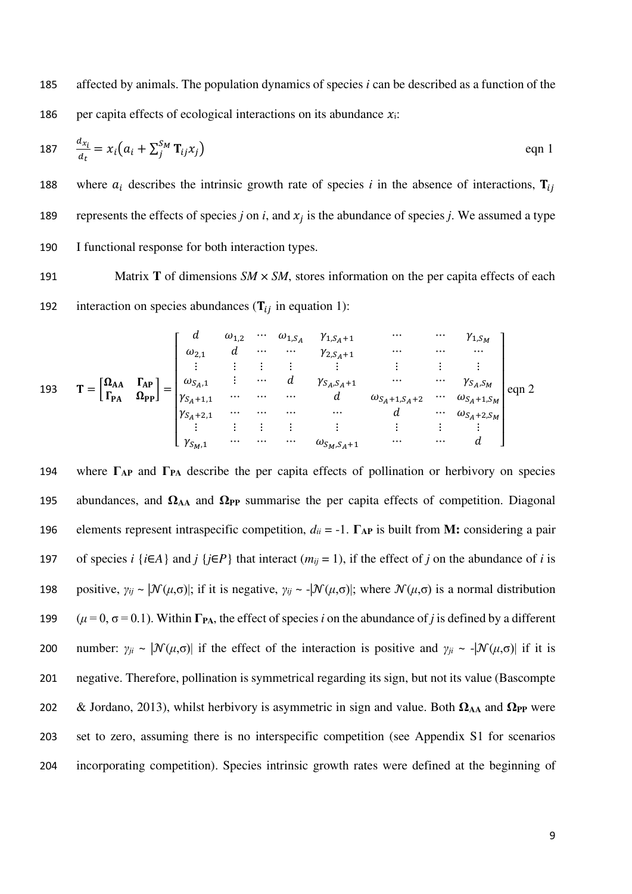185 affected by animals. The population dynamics of species *i* can be described as a function of the 186 per capita effects of ecological interactions on its abundance  $x_i$ :

$$
187 \quad \frac{d_{x_i}}{d_t} = x_i \left( a_i + \sum_j^{S_M} \mathbf{T}_{ij} x_j \right) \tag{eqn 1}
$$

188 where  $a_i$  describes the intrinsic growth rate of species *i* in the absence of interactions,  $\mathbf{T}_{ij}$ represents the effects of species *j* on *i*, and  $x_i$  is the abundance of species *j*. We assumed a type 190 I functional response for both interaction types.

191 Matrix **T** of dimensions *SM*  $\times$  *SM*, stores information on the per capita effects of each 192 interaction on species abundances  $(T_{ii}$  in equation 1):

193 
$$
\mathbf{T} = \begin{bmatrix} \mathbf{\Omega}_{AA} & \mathbf{\Gamma}_{AP} \\ \mathbf{\Gamma}_{PA} & \mathbf{\Omega}_{PP} \end{bmatrix} = \begin{bmatrix} d & \omega_{1,2} & \cdots & \omega_{1,S_A} & \gamma_{1,S_A+1} & \cdots & \cdots & \gamma_{1,S_M} \\ \omega_{2,1} & d & \cdots & \cdots & \gamma_{2,S_A+1} & \cdots & \cdots & \cdots \\ \vdots & \vdots & \vdots & \vdots & \vdots & \vdots & \vdots \\ \omega_{S_A,1} & \cdots & \cdots & d & \gamma_{S_A,S_A+1} & \cdots & \cdots & \gamma_{S_A,S_M} \\ \gamma_{S_A+1,1} & \cdots & \cdots & \cdots & d & \omega_{S_A+1,S_A+2} & \cdots & \omega_{S_A+1,S_M} \\ \gamma_{S_A+2,1} & \cdots & \cdots & \cdots & \cdots & d & \cdots & \omega_{S_A+2,S_M} \\ \vdots & \vdots & \vdots & \vdots & \vdots & \vdots & \vdots & \vdots \\ \gamma_{S_M,1} & \cdots & \cdots & \cdots & \omega_{S_M,S_A+1} & \cdots & \cdots & d \end{bmatrix} \text{eqn 2}
$$

 where **ΓAP** and **ΓPA** describe the per capita effects of pollination or herbivory on species abundances, and **ΩAA** and **ΩPP** summarise the per capita effects of competition. Diagonal elements represent intraspecific competition, *dii* = -1. **ΓAP** is built from **M:** considering a pair 197 of species *i* {*i*∈*A*} and *j* {*j*∈*P*} that interact ( $m_{ij} = 1$ ), if the effect of *j* on the abundance of *i* is 198 positive,  $\gamma_{ij} \sim |\mathcal{N}(\mu, \sigma)|$ ; if it is negative,  $\gamma_{ij} \sim |\mathcal{N}(\mu, \sigma)|$ ; where  $\mathcal{N}(\mu, \sigma)$  is a normal distribution  $(\mu = 0, \sigma = 0.1)$ . Within  $\Gamma_{PA}$ , the effect of species *i* on the abundance of *j* is defined by a different 200 number:  $\gamma_{ji} \sim |\mathcal{N}(\mu, \sigma)|$  if the effect of the interaction is positive and  $\gamma_{ji} \sim -|\mathcal{N}(\mu, \sigma)|$  if it is negative. Therefore, pollination is symmetrical regarding its sign, but not its value (Bascompte & Jordano, 2013), whilst herbivory is asymmetric in sign and value. Both **ΩAA** and **ΩPP** were set to zero, assuming there is no interspecific competition (see Appendix S1 for scenarios incorporating competition). Species intrinsic growth rates were defined at the beginning of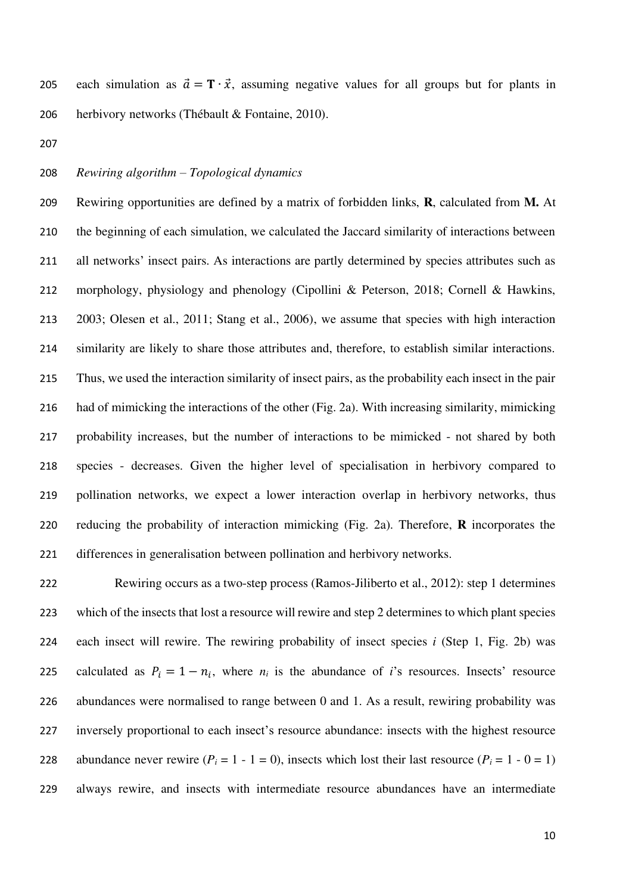205 each simulation as  $\vec{a} = \mathbf{T} \cdot \vec{x}$ , assuming negative values for all groups but for plants in herbivory networks (Thébault & Fontaine, 2010).

#### *Rewiring algorithm – Topological dynamics*

 Rewiring opportunities are defined by a matrix of forbidden links, **R**, calculated from **M.** At the beginning of each simulation, we calculated the Jaccard similarity of interactions between all networks' insect pairs. As interactions are partly determined by species attributes such as morphology, physiology and phenology (Cipollini & Peterson, 2018; Cornell & Hawkins, 2003; Olesen et al., 2011; Stang et al., 2006), we assume that species with high interaction similarity are likely to share those attributes and, therefore, to establish similar interactions. Thus, we used the interaction similarity of insect pairs, as the probability each insect in the pair had of mimicking the interactions of the other (Fig. 2a). With increasing similarity, mimicking probability increases, but the number of interactions to be mimicked - not shared by both species - decreases. Given the higher level of specialisation in herbivory compared to pollination networks, we expect a lower interaction overlap in herbivory networks, thus reducing the probability of interaction mimicking (Fig. 2a). Therefore, **R** incorporates the differences in generalisation between pollination and herbivory networks.

 Rewiring occurs as a two-step process (Ramos-Jiliberto et al., 2012): step 1 determines which of the insects that lost a resource will rewire and step 2 determines to which plant species each insect will rewire. The rewiring probability of insect species *i* (Step 1, Fig. 2b) was calculated as  $P_i = 1 - n_i$ , where  $n_i$  is the abundance of *i*'s resources. Insects' resource abundances were normalised to range between 0 and 1. As a result, rewiring probability was inversely proportional to each insect's resource abundance: insects with the highest resource 228 abundance never rewire  $(P_i = 1 - 1 = 0)$ , insects which lost their last resource  $(P_i = 1 - 0 = 1)$ always rewire, and insects with intermediate resource abundances have an intermediate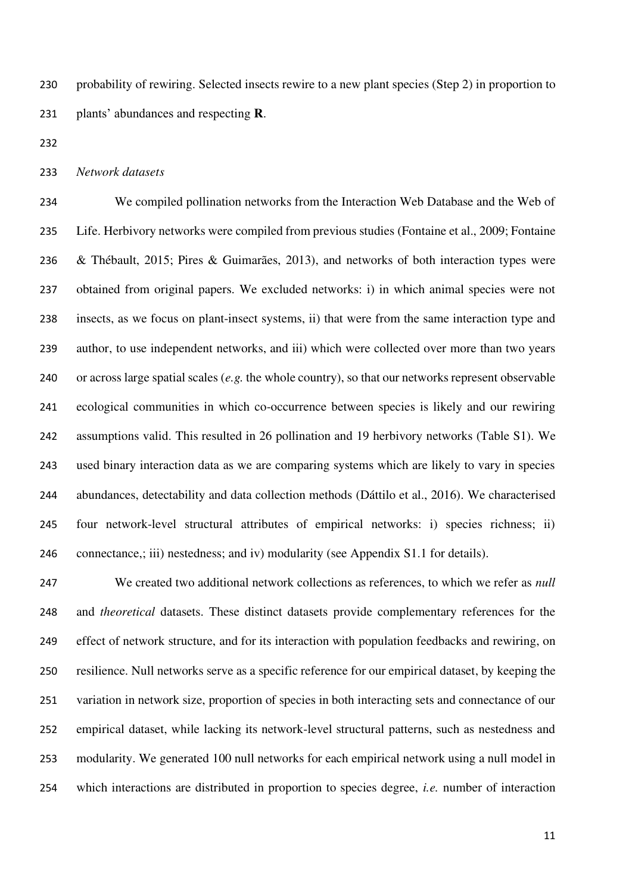probability of rewiring. Selected insects rewire to a new plant species (Step 2) in proportion to plants' abundances and respecting **R**.

*Network datasets* 

 We compiled pollination networks from the Interaction Web Database and the Web of Life. Herbivory networks were compiled from previous studies (Fontaine et al., 2009; Fontaine & Thébault, 2015; Pires & Guimarães, 2013), and networks of both interaction types were obtained from original papers. We excluded networks: i) in which animal species were not insects, as we focus on plant-insect systems, ii) that were from the same interaction type and author, to use independent networks, and iii) which were collected over more than two years or across large spatial scales (*e.g.* the whole country), so that our networks represent observable ecological communities in which co-occurrence between species is likely and our rewiring assumptions valid. This resulted in 26 pollination and 19 herbivory networks (Table S1). We used binary interaction data as we are comparing systems which are likely to vary in species abundances, detectability and data collection methods (Dáttilo et al., 2016). We characterised four network-level structural attributes of empirical networks: i) species richness; ii) connectance,; iii) nestedness; and iv) modularity (see Appendix S1.1 for details).

 We created two additional network collections as references, to which we refer as *null* and *theoretical* datasets. These distinct datasets provide complementary references for the effect of network structure, and for its interaction with population feedbacks and rewiring, on resilience. Null networks serve as a specific reference for our empirical dataset, by keeping the variation in network size, proportion of species in both interacting sets and connectance of our empirical dataset, while lacking its network-level structural patterns, such as nestedness and modularity. We generated 100 null networks for each empirical network using a null model in which interactions are distributed in proportion to species degree, *i.e.* number of interaction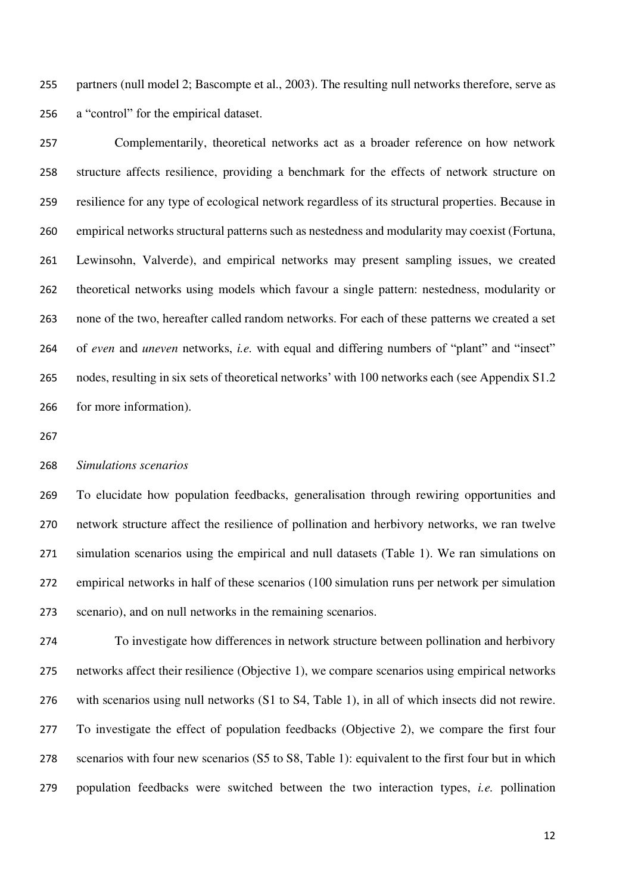partners (null model 2; Bascompte et al., 2003). The resulting null networks therefore, serve as a "control" for the empirical dataset.

 Complementarily, theoretical networks act as a broader reference on how network structure affects resilience, providing a benchmark for the effects of network structure on resilience for any type of ecological network regardless of its structural properties. Because in empirical networks structural patterns such as nestedness and modularity may coexist (Fortuna, Lewinsohn, Valverde), and empirical networks may present sampling issues, we created theoretical networks using models which favour a single pattern: nestedness, modularity or none of the two, hereafter called random networks. For each of these patterns we created a set of *even* and *uneven* networks, *i.e.* with equal and differing numbers of "plant" and "insect" nodes, resulting in six sets of theoretical networks' with 100 networks each (see Appendix S1.2 for more information).

#### *Simulations scenarios*

 To elucidate how population feedbacks, generalisation through rewiring opportunities and network structure affect the resilience of pollination and herbivory networks, we ran twelve simulation scenarios using the empirical and null datasets (Table 1). We ran simulations on empirical networks in half of these scenarios (100 simulation runs per network per simulation scenario), and on null networks in the remaining scenarios.

 To investigate how differences in network structure between pollination and herbivory networks affect their resilience (Objective 1), we compare scenarios using empirical networks with scenarios using null networks (S1 to S4, Table 1), in all of which insects did not rewire. To investigate the effect of population feedbacks (Objective 2), we compare the first four scenarios with four new scenarios (S5 to S8, Table 1): equivalent to the first four but in which population feedbacks were switched between the two interaction types, *i.e.* pollination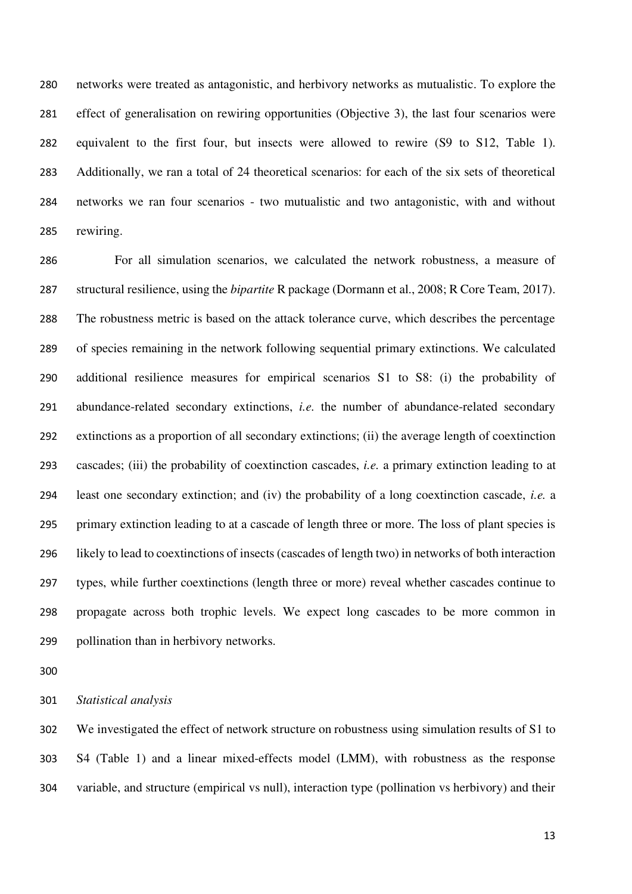networks were treated as antagonistic, and herbivory networks as mutualistic. To explore the effect of generalisation on rewiring opportunities (Objective 3), the last four scenarios were equivalent to the first four, but insects were allowed to rewire (S9 to S12, Table 1). Additionally, we ran a total of 24 theoretical scenarios: for each of the six sets of theoretical networks we ran four scenarios - two mutualistic and two antagonistic, with and without rewiring.

 For all simulation scenarios, we calculated the network robustness, a measure of structural resilience, using the *bipartite* R package (Dormann et al., 2008; R Core Team, 2017). The robustness metric is based on the attack tolerance curve, which describes the percentage of species remaining in the network following sequential primary extinctions. We calculated additional resilience measures for empirical scenarios S1 to S8: (i) the probability of abundance-related secondary extinctions, *i.e.* the number of abundance-related secondary extinctions as a proportion of all secondary extinctions; (ii) the average length of coextinction cascades; (iii) the probability of coextinction cascades, *i.e.* a primary extinction leading to at least one secondary extinction; and (iv) the probability of a long coextinction cascade, *i.e.* a primary extinction leading to at a cascade of length three or more. The loss of plant species is likely to lead to coextinctions of insects (cascades of length two) in networks of both interaction types, while further coextinctions (length three or more) reveal whether cascades continue to propagate across both trophic levels. We expect long cascades to be more common in pollination than in herbivory networks.

*Statistical analysis* 

 We investigated the effect of network structure on robustness using simulation results of S1 to S4 (Table 1) and a linear mixed-effects model (LMM), with robustness as the response variable, and structure (empirical vs null), interaction type (pollination vs herbivory) and their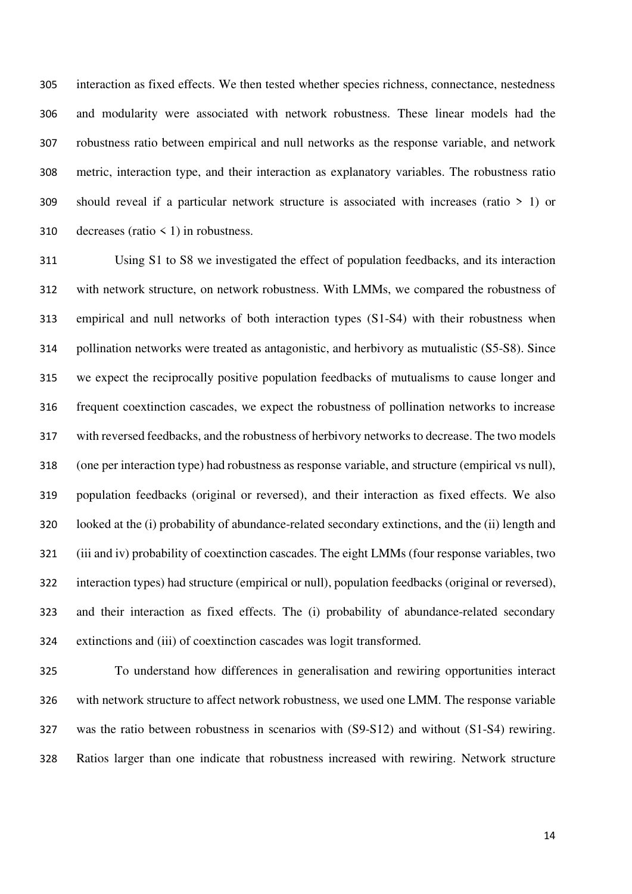interaction as fixed effects. We then tested whether species richness, connectance, nestedness and modularity were associated with network robustness. These linear models had the robustness ratio between empirical and null networks as the response variable, and network metric, interaction type, and their interaction as explanatory variables. The robustness ratio should reveal if a particular network structure is associated with increases (ratio > 1) or 310 decreases (ratio  $\leq$  1) in robustness.

 Using S1 to S8 we investigated the effect of population feedbacks, and its interaction with network structure, on network robustness. With LMMs, we compared the robustness of empirical and null networks of both interaction types (S1-S4) with their robustness when pollination networks were treated as antagonistic, and herbivory as mutualistic (S5-S8). Since we expect the reciprocally positive population feedbacks of mutualisms to cause longer and frequent coextinction cascades, we expect the robustness of pollination networks to increase with reversed feedbacks, and the robustness of herbivory networks to decrease. The two models (one per interaction type) had robustness as response variable, and structure (empirical vs null), population feedbacks (original or reversed), and their interaction as fixed effects. We also looked at the (i) probability of abundance-related secondary extinctions, and the (ii) length and (iii and iv) probability of coextinction cascades. The eight LMMs (four response variables, two interaction types) had structure (empirical or null), population feedbacks (original or reversed), and their interaction as fixed effects. The (i) probability of abundance-related secondary extinctions and (iii) of coextinction cascades was logit transformed.

 To understand how differences in generalisation and rewiring opportunities interact with network structure to affect network robustness, we used one LMM. The response variable was the ratio between robustness in scenarios with (S9-S12) and without (S1-S4) rewiring. Ratios larger than one indicate that robustness increased with rewiring. Network structure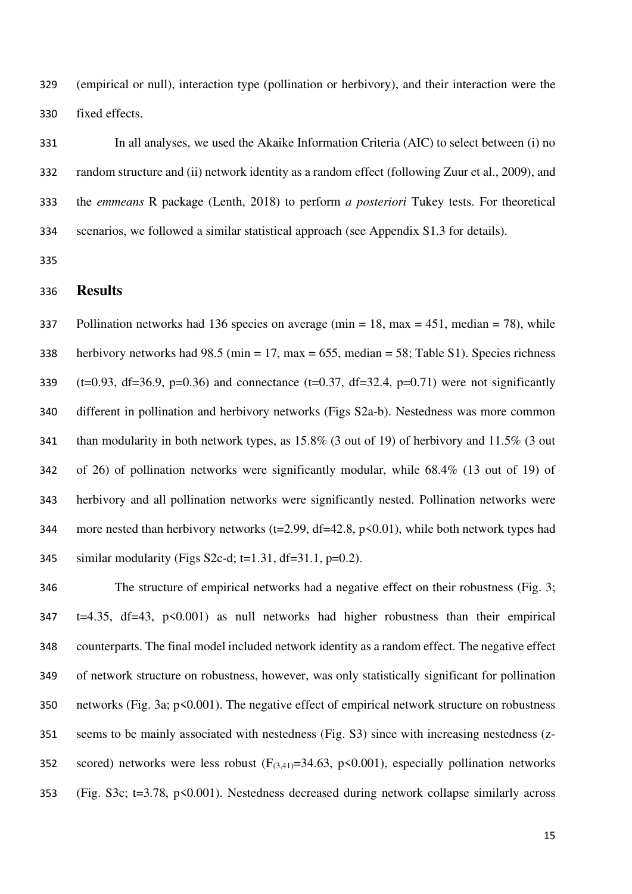(empirical or null), interaction type (pollination or herbivory), and their interaction were the fixed effects.

 In all analyses, we used the Akaike Information Criteria (AIC) to select between (i) no random structure and (ii) network identity as a random effect (following Zuur et al., 2009), and the *emmeans* R package (Lenth, 2018) to perform *a posteriori* Tukey tests. For theoretical scenarios, we followed a similar statistical approach (see Appendix S1.3 for details).

## **Results**

337 Pollination networks had 136 species on average (min = 18, max = 451, median = 78), while herbivory networks had 98.5 (min = 17, max = 655, median = 58; Table S1). Species richness 339 (t=0.93, df=36.9, p=0.36) and connectance (t=0.37, df=32.4, p=0.71) were not significantly different in pollination and herbivory networks (Figs S2a-b). Nestedness was more common than modularity in both network types, as 15.8% (3 out of 19) of herbivory and 11.5% (3 out of 26) of pollination networks were significantly modular, while 68.4% (13 out of 19) of herbivory and all pollination networks were significantly nested. Pollination networks were 344 more nested than herbivory networks ( $t=2.99$ ,  $df=42.8$ ,  $p<0.01$ ), while both network types had 345 similar modularity (Figs S2c-d; t=1.31, df=31.1, p=0.2).

 The structure of empirical networks had a negative effect on their robustness (Fig. 3; t=4.35, df=43,  $p \le 0.001$ ) as null networks had higher robustness than their empirical counterparts. The final model included network identity as a random effect. The negative effect of network structure on robustness, however, was only statistically significant for pollination networks (Fig. 3a; p<0.001). The negative effect of empirical network structure on robustness seems to be mainly associated with nestedness (Fig. S3) since with increasing nestedness (z-352 scored) networks were less robust  $(F_{(3,41)}=34.63, p\leq 0.001)$ , especially pollination networks (Fig. S3c; t=3.78, p<0.001). Nestedness decreased during network collapse similarly across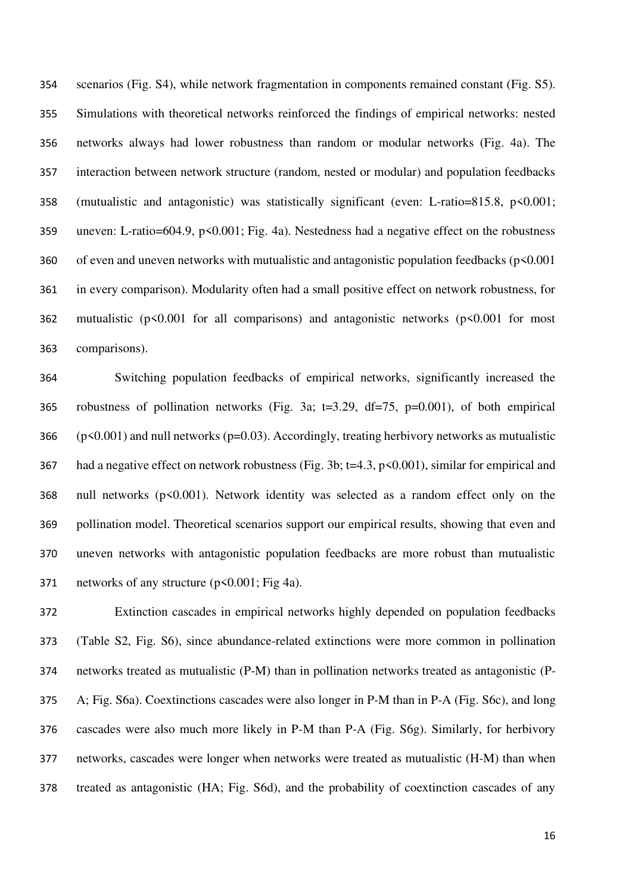scenarios (Fig. S4), while network fragmentation in components remained constant (Fig. S5). Simulations with theoretical networks reinforced the findings of empirical networks: nested networks always had lower robustness than random or modular networks (Fig. 4a). The interaction between network structure (random, nested or modular) and population feedbacks (mutualistic and antagonistic) was statistically significant (even: L-ratio=815.8, p<0.001; uneven: L-ratio=604.9, p<0.001; Fig. 4a). Nestedness had a negative effect on the robustness of even and uneven networks with mutualistic and antagonistic population feedbacks (p<0.001 in every comparison). Modularity often had a small positive effect on network robustness, for 362 mutualistic ( $p \le 0.001$  for all comparisons) and antagonistic networks ( $p \le 0.001$  for most comparisons).

 Switching population feedbacks of empirical networks, significantly increased the robustness of pollination networks (Fig. 3a; t=3.29, df=75, p=0.001), of both empirical (p<0.001) and null networks (p=0.03). Accordingly, treating herbivory networks as mutualistic had a negative effect on network robustness (Fig. 3b; t=4.3, p<0.001), similar for empirical and null networks (p<0.001). Network identity was selected as a random effect only on the pollination model. Theoretical scenarios support our empirical results, showing that even and uneven networks with antagonistic population feedbacks are more robust than mutualistic 371 networks of any structure (p<0.001; Fig 4a).

 Extinction cascades in empirical networks highly depended on population feedbacks (Table S2, Fig. S6), since abundance-related extinctions were more common in pollination networks treated as mutualistic (P-M) than in pollination networks treated as antagonistic (P- A; Fig. S6a). Coextinctions cascades were also longer in P-M than in P-A (Fig. S6c), and long cascades were also much more likely in P-M than P-A (Fig. S6g). Similarly, for herbivory networks, cascades were longer when networks were treated as mutualistic (H-M) than when treated as antagonistic (HA; Fig. S6d), and the probability of coextinction cascades of any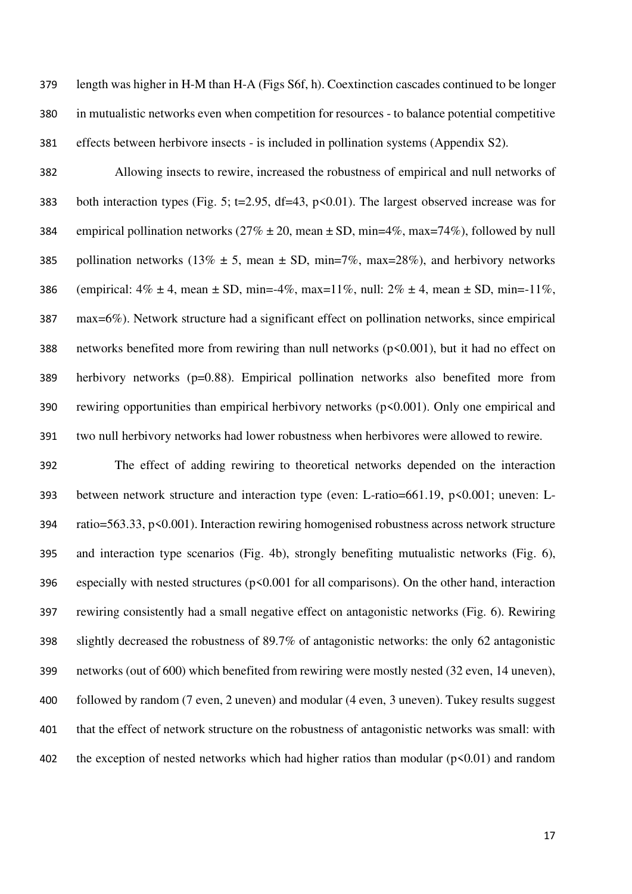length was higher in H-M than H-A (Figs S6f, h). Coextinction cascades continued to be longer in mutualistic networks even when competition for resources - to balance potential competitive effects between herbivore insects - is included in pollination systems (Appendix S2).

 Allowing insects to rewire, increased the robustness of empirical and null networks of both interaction types (Fig. 5; t=2.95, df=43, p<0.01). The largest observed increase was for 384 empirical pollination networks ( $27\% \pm 20$ , mean  $\pm$  SD, min=4%, max=74%), followed by null 385 pollination networks (13%  $\pm$  5, mean  $\pm$  SD, min=7%, max=28%), and herbivory networks 386 (empirical:  $4\% \pm 4$ , mean  $\pm$  SD, min=- $4\%$ , max= $11\%$ , null:  $2\% \pm 4$ , mean  $\pm$  SD, min=- $11\%$ , max=6%). Network structure had a significant effect on pollination networks, since empirical networks benefited more from rewiring than null networks (p<0.001), but it had no effect on herbivory networks (p=0.88). Empirical pollination networks also benefited more from rewiring opportunities than empirical herbivory networks (p<0.001). Only one empirical and two null herbivory networks had lower robustness when herbivores were allowed to rewire.

 The effect of adding rewiring to theoretical networks depended on the interaction between network structure and interaction type (even: L-ratio=661.19, p<0.001; uneven: L- ratio=563.33, p<0.001). Interaction rewiring homogenised robustness across network structure and interaction type scenarios (Fig. 4b), strongly benefiting mutualistic networks (Fig. 6), 396 especially with nested structures  $(p<0.001$  for all comparisons). On the other hand, interaction rewiring consistently had a small negative effect on antagonistic networks (Fig. 6). Rewiring slightly decreased the robustness of 89.7% of antagonistic networks: the only 62 antagonistic networks (out of 600) which benefited from rewiring were mostly nested (32 even, 14 uneven), followed by random (7 even, 2 uneven) and modular (4 even, 3 uneven). Tukey results suggest that the effect of network structure on the robustness of antagonistic networks was small: with 402 the exception of nested networks which had higher ratios than modular  $(p<0.01)$  and random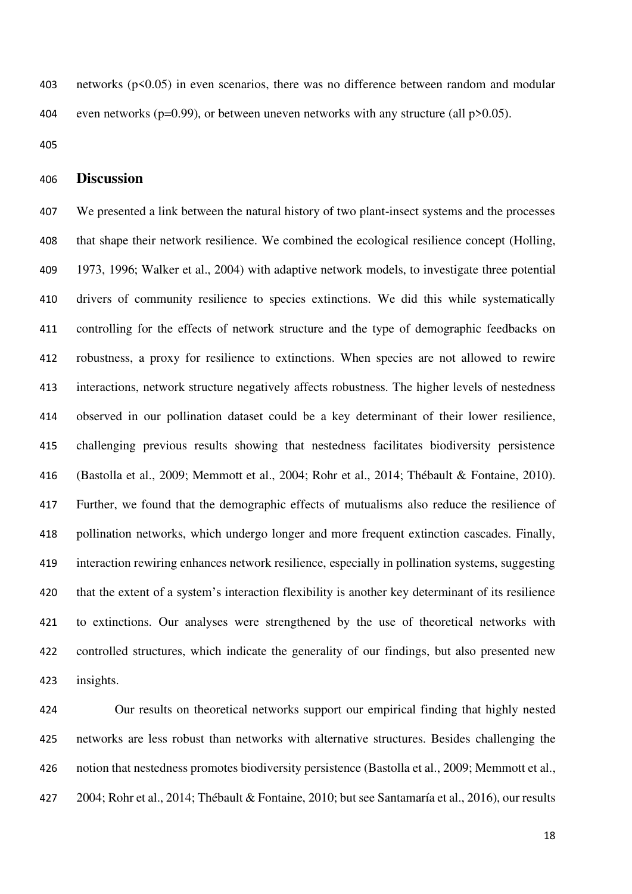networks (p<0.05) in even scenarios, there was no difference between random and modular 404 even networks ( $p=0.99$ ), or between uneven networks with any structure (all  $p>0.05$ ).

## **Discussion**

 We presented a link between the natural history of two plant-insect systems and the processes that shape their network resilience. We combined the ecological resilience concept (Holling, 1973, 1996; Walker et al., 2004) with adaptive network models, to investigate three potential drivers of community resilience to species extinctions. We did this while systematically controlling for the effects of network structure and the type of demographic feedbacks on robustness, a proxy for resilience to extinctions. When species are not allowed to rewire interactions, network structure negatively affects robustness. The higher levels of nestedness observed in our pollination dataset could be a key determinant of their lower resilience, challenging previous results showing that nestedness facilitates biodiversity persistence (Bastolla et al., 2009; Memmott et al., 2004; Rohr et al., 2014; Thébault & Fontaine, 2010). Further, we found that the demographic effects of mutualisms also reduce the resilience of pollination networks, which undergo longer and more frequent extinction cascades. Finally, interaction rewiring enhances network resilience, especially in pollination systems, suggesting that the extent of a system's interaction flexibility is another key determinant of its resilience to extinctions. Our analyses were strengthened by the use of theoretical networks with controlled structures, which indicate the generality of our findings, but also presented new insights.

 Our results on theoretical networks support our empirical finding that highly nested networks are less robust than networks with alternative structures. Besides challenging the notion that nestedness promotes biodiversity persistence (Bastolla et al., 2009; Memmott et al., 2004; Rohr et al., 2014; Thébault & Fontaine, 2010; but see Santamaría et al., 2016), our results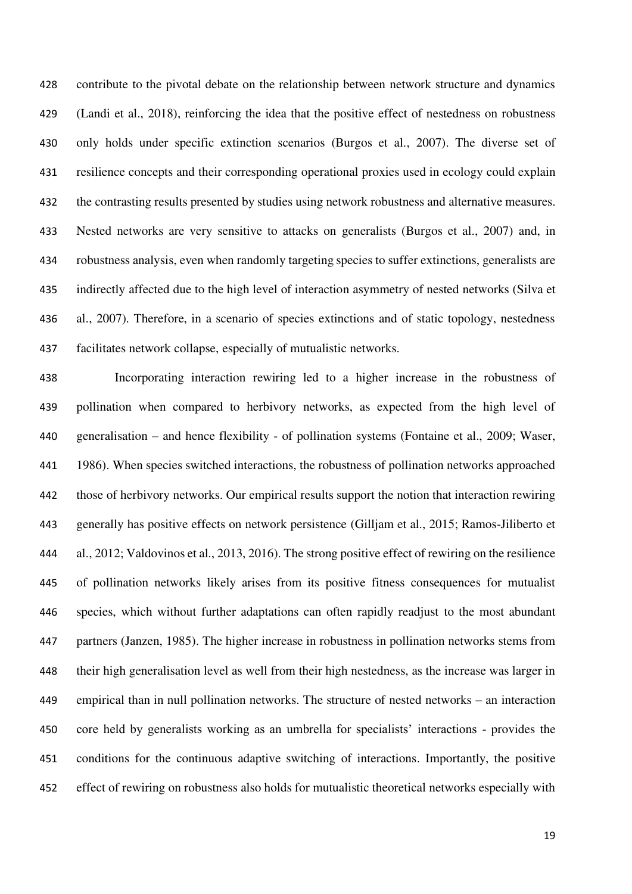contribute to the pivotal debate on the relationship between network structure and dynamics (Landi et al., 2018), reinforcing the idea that the positive effect of nestedness on robustness only holds under specific extinction scenarios (Burgos et al., 2007). The diverse set of resilience concepts and their corresponding operational proxies used in ecology could explain the contrasting results presented by studies using network robustness and alternative measures. Nested networks are very sensitive to attacks on generalists (Burgos et al., 2007) and, in robustness analysis, even when randomly targeting species to suffer extinctions, generalists are indirectly affected due to the high level of interaction asymmetry of nested networks (Silva et al., 2007). Therefore, in a scenario of species extinctions and of static topology, nestedness facilitates network collapse, especially of mutualistic networks.

 Incorporating interaction rewiring led to a higher increase in the robustness of pollination when compared to herbivory networks, as expected from the high level of generalisation – and hence flexibility - of pollination systems (Fontaine et al., 2009; Waser, 1986). When species switched interactions, the robustness of pollination networks approached those of herbivory networks. Our empirical results support the notion that interaction rewiring generally has positive effects on network persistence (Gilljam et al., 2015; Ramos-Jiliberto et al., 2012; Valdovinos et al., 2013, 2016). The strong positive effect of rewiring on the resilience of pollination networks likely arises from its positive fitness consequences for mutualist species, which without further adaptations can often rapidly readjust to the most abundant partners (Janzen, 1985). The higher increase in robustness in pollination networks stems from their high generalisation level as well from their high nestedness, as the increase was larger in empirical than in null pollination networks. The structure of nested networks – an interaction core held by generalists working as an umbrella for specialists' interactions - provides the conditions for the continuous adaptive switching of interactions. Importantly, the positive effect of rewiring on robustness also holds for mutualistic theoretical networks especially with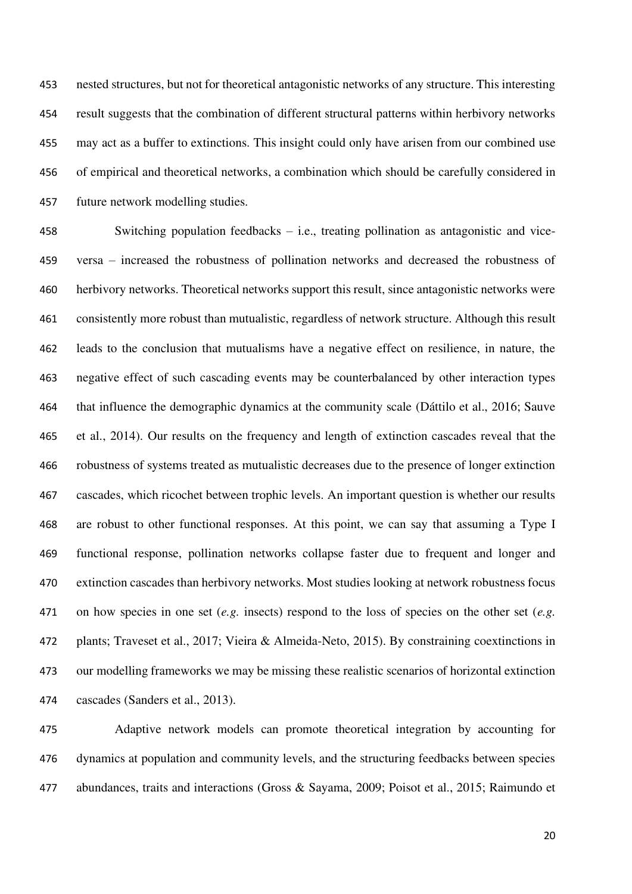nested structures, but not for theoretical antagonistic networks of any structure. This interesting result suggests that the combination of different structural patterns within herbivory networks may act as a buffer to extinctions. This insight could only have arisen from our combined use of empirical and theoretical networks, a combination which should be carefully considered in future network modelling studies.

 Switching population feedbacks – i.e., treating pollination as antagonistic and vice- versa – increased the robustness of pollination networks and decreased the robustness of herbivory networks. Theoretical networks support this result, since antagonistic networks were consistently more robust than mutualistic, regardless of network structure. Although this result leads to the conclusion that mutualisms have a negative effect on resilience, in nature, the negative effect of such cascading events may be counterbalanced by other interaction types that influence the demographic dynamics at the community scale (Dáttilo et al., 2016; Sauve et al., 2014). Our results on the frequency and length of extinction cascades reveal that the robustness of systems treated as mutualistic decreases due to the presence of longer extinction cascades, which ricochet between trophic levels. An important question is whether our results are robust to other functional responses. At this point, we can say that assuming a Type I functional response, pollination networks collapse faster due to frequent and longer and extinction cascades than herbivory networks. Most studies looking at network robustness focus on how species in one set (*e.g.* insects) respond to the loss of species on the other set (*e.g.* plants; Traveset et al., 2017; Vieira & Almeida-Neto, 2015). By constraining coextinctions in our modelling frameworks we may be missing these realistic scenarios of horizontal extinction cascades (Sanders et al., 2013).

 Adaptive network models can promote theoretical integration by accounting for dynamics at population and community levels, and the structuring feedbacks between species abundances, traits and interactions (Gross & Sayama, 2009; Poisot et al., 2015; Raimundo et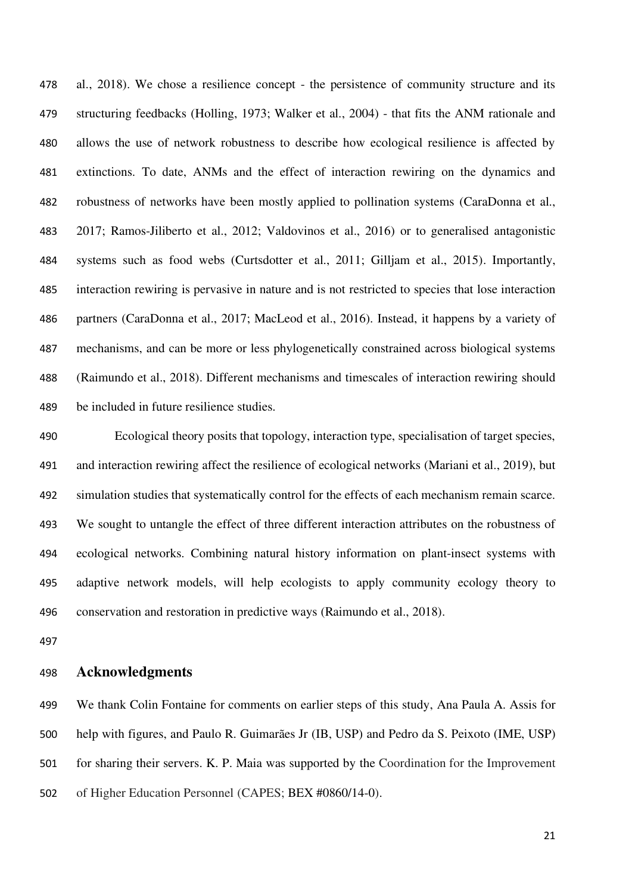al., 2018). We chose a resilience concept - the persistence of community structure and its structuring feedbacks (Holling, 1973; Walker et al., 2004) - that fits the ANM rationale and allows the use of network robustness to describe how ecological resilience is affected by extinctions. To date, ANMs and the effect of interaction rewiring on the dynamics and robustness of networks have been mostly applied to pollination systems (CaraDonna et al., 2017; Ramos-Jiliberto et al., 2012; Valdovinos et al., 2016) or to generalised antagonistic systems such as food webs (Curtsdotter et al., 2011; Gilljam et al., 2015). Importantly, interaction rewiring is pervasive in nature and is not restricted to species that lose interaction partners (CaraDonna et al., 2017; MacLeod et al., 2016). Instead, it happens by a variety of mechanisms, and can be more or less phylogenetically constrained across biological systems (Raimundo et al., 2018). Different mechanisms and timescales of interaction rewiring should be included in future resilience studies.

 Ecological theory posits that topology, interaction type, specialisation of target species, and interaction rewiring affect the resilience of ecological networks (Mariani et al., 2019), but simulation studies that systematically control for the effects of each mechanism remain scarce. We sought to untangle the effect of three different interaction attributes on the robustness of ecological networks. Combining natural history information on plant-insect systems with adaptive network models, will help ecologists to apply community ecology theory to conservation and restoration in predictive ways (Raimundo et al., 2018).

## **Acknowledgments**

 We thank Colin Fontaine for comments on earlier steps of this study, Ana Paula A. Assis for help with figures, and Paulo R. Guimarães Jr (IB, USP) and Pedro da S. Peixoto (IME, USP) for sharing their servers. K. P. Maia was supported by the Coordination for the Improvement of Higher Education Personnel (CAPES; BEX #0860/14-0).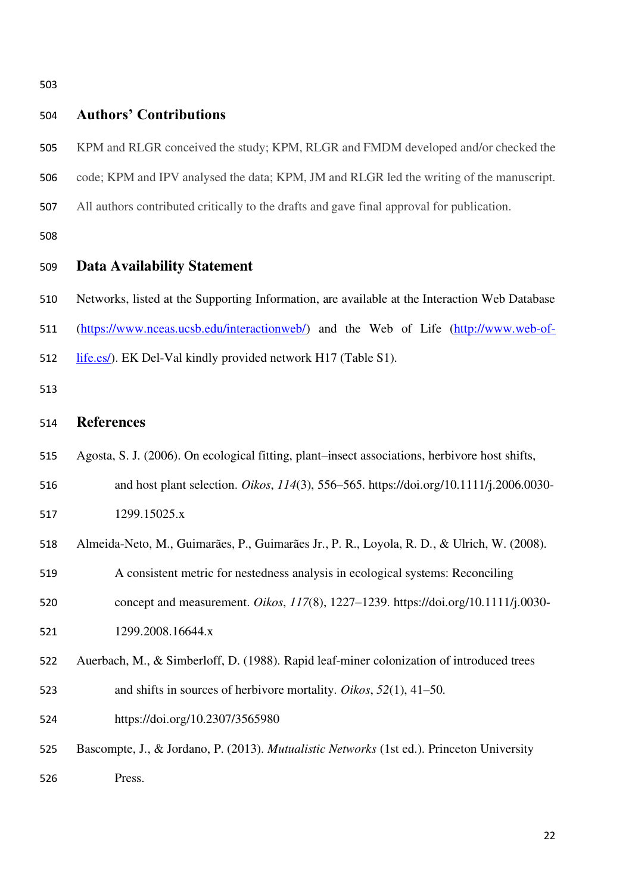| 503 |                                                                                                |  |  |  |
|-----|------------------------------------------------------------------------------------------------|--|--|--|
| 504 | <b>Authors' Contributions</b>                                                                  |  |  |  |
| 505 | KPM and RLGR conceived the study; KPM, RLGR and FMDM developed and/or checked the              |  |  |  |
| 506 | code; KPM and IPV analysed the data; KPM, JM and RLGR led the writing of the manuscript.       |  |  |  |
| 507 | All authors contributed critically to the drafts and gave final approval for publication.      |  |  |  |
| 508 |                                                                                                |  |  |  |
| 509 | <b>Data Availability Statement</b>                                                             |  |  |  |
| 510 | Networks, listed at the Supporting Information, are available at the Interaction Web Database  |  |  |  |
| 511 | (https://www.nceas.ucsb.edu/interactionweb/) and the Web of Life (http://www.web-of-           |  |  |  |
| 512 | life.es/). EK Del-Val kindly provided network H17 (Table S1).                                  |  |  |  |
| 513 |                                                                                                |  |  |  |
| 514 | <b>References</b>                                                                              |  |  |  |
| 515 | Agosta, S. J. (2006). On ecological fitting, plant–insect associations, herbivore host shifts, |  |  |  |
| 516 | and host plant selection. Oikos, 114(3), 556–565. https://doi.org/10.1111/j.2006.0030-         |  |  |  |
| 517 | 1299.15025.x                                                                                   |  |  |  |
| 518 | Almeida-Neto, M., Guimarães, P., Guimarães Jr., P. R., Loyola, R. D., & Ulrich, W. (2008).     |  |  |  |
| 519 | A consistent metric for nestedness analysis in ecological systems: Reconciling                 |  |  |  |
| 520 | concept and measurement. Oikos, 117(8), 1227-1239. https://doi.org/10.1111/j.0030-             |  |  |  |
| 521 | 1299.2008.16644.x                                                                              |  |  |  |
| 522 | Auerbach, M., & Simberloff, D. (1988). Rapid leaf-miner colonization of introduced trees       |  |  |  |
| 523 | and shifts in sources of herbivore mortality. Oikos, $52(1)$ , 41–50.                          |  |  |  |
| 524 | https://doi.org/10.2307/3565980                                                                |  |  |  |
| 525 | Bascompte, J., & Jordano, P. (2013). Mutualistic Networks (1st ed.). Princeton University      |  |  |  |
| 526 | Press.                                                                                         |  |  |  |
|     |                                                                                                |  |  |  |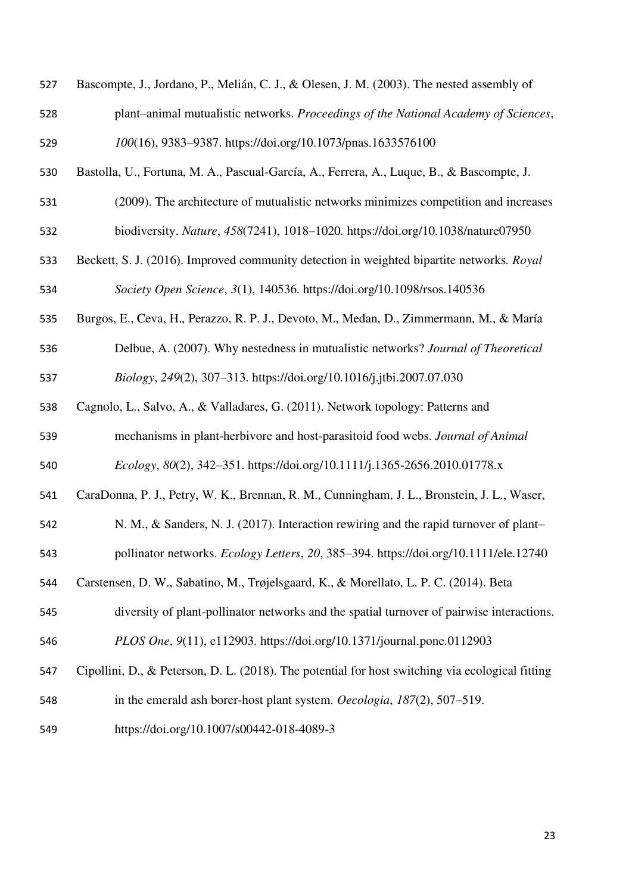| 527 | Bascompte, J., Jordano, P., Melián, C. J., & Olesen, J. M. (2003). The nested assembly of        |
|-----|--------------------------------------------------------------------------------------------------|
| 528 | plant-animal mutualistic networks. Proceedings of the National Academy of Sciences,              |
| 529 | 100(16), 9383-9387. https://doi.org/10.1073/pnas.1633576100                                      |
| 530 | Bastolla, U., Fortuna, M. A., Pascual-García, A., Ferrera, A., Luque, B., & Bascompte, J.        |
| 531 | (2009). The architecture of mutualistic networks minimizes competition and increases             |
| 532 | biodiversity. Nature, 458(7241), 1018-1020. https://doi.org/10.1038/nature07950                  |
| 533 | Beckett, S. J. (2016). Improved community detection in weighted bipartite networks. Royal        |
| 534 | Society Open Science, 3(1), 140536. https://doi.org/10.1098/rsos.140536                          |
| 535 | Burgos, E., Ceva, H., Perazzo, R. P. J., Devoto, M., Medan, D., Zimmermann, M., & María          |
| 536 | Delbue, A. (2007). Why nestedness in mutualistic networks? Journal of Theoretical                |
| 537 | Biology, 249(2), 307-313. https://doi.org/10.1016/j.jtbi.2007.07.030                             |
| 538 | Cagnolo, L., Salvo, A., & Valladares, G. (2011). Network topology: Patterns and                  |
| 539 | mechanisms in plant-herbivore and host-parasitoid food webs. Journal of Animal                   |
| 540 | Ecology, 80(2), 342-351. https://doi.org/10.1111/j.1365-2656.2010.01778.x                        |
| 541 | CaraDonna, P. J., Petry, W. K., Brennan, R. M., Cunningham, J. L., Bronstein, J. L., Waser,      |
| 542 | N. M., & Sanders, N. J. (2017). Interaction rewiring and the rapid turnover of plant-            |
| 543 | pollinator networks. Ecology Letters, 20, 385-394. https://doi.org/10.1111/ele.12740             |
| 544 | Carstensen, D. W., Sabatino, M., Trøjelsgaard, K., & Morellato, L. P. C. (2014). Beta            |
| 545 | diversity of plant-pollinator networks and the spatial turnover of pairwise interactions.        |
| 546 | PLOS One, 9(11), e112903. https://doi.org/10.1371/journal.pone.0112903                           |
| 547 | Cipollini, D., & Peterson, D. L. (2018). The potential for host switching via ecological fitting |
| 548 | in the emerald ash borer-host plant system. Oecologia, 187(2), 507–519.                          |
| 549 | https://doi.org/10.1007/s00442-018-4089-3                                                        |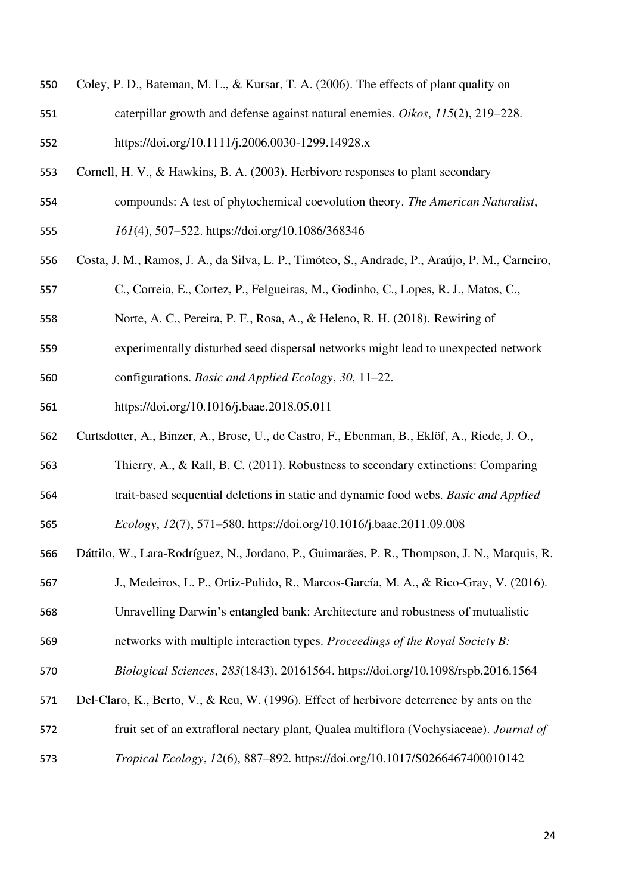| 550 Coley, P. D., Bateman, M. L., & Kursar, T. A. (2006). The effects of plant quality on |  |  |
|-------------------------------------------------------------------------------------------|--|--|
|                                                                                           |  |  |

- caterpillar growth and defense against natural enemies. *Oikos*, *115*(2), 219–228.
- https://doi.org/10.1111/j.2006.0030-1299.14928.x
- Cornell, H. V., & Hawkins, B. A. (2003). Herbivore responses to plant secondary
- compounds: A test of phytochemical coevolution theory. *The American Naturalist*,
- *161*(4), 507–522. https://doi.org/10.1086/368346
- Costa, J. M., Ramos, J. A., da Silva, L. P., Timóteo, S., Andrade, P., Araújo, P. M., Carneiro,

C., Correia, E., Cortez, P., Felgueiras, M., Godinho, C., Lopes, R. J., Matos, C.,

- Norte, A. C., Pereira, P. F., Rosa, A., & Heleno, R. H. (2018). Rewiring of
- experimentally disturbed seed dispersal networks might lead to unexpected network
- configurations. *Basic and Applied Ecology*, *30*, 11–22.
- https://doi.org/10.1016/j.baae.2018.05.011
- Curtsdotter, A., Binzer, A., Brose, U., de Castro, F., Ebenman, B., Eklöf, A., Riede, J. O.,
- Thierry, A., & Rall, B. C. (2011). Robustness to secondary extinctions: Comparing
- trait-based sequential deletions in static and dynamic food webs. *Basic and Applied*

*Ecology*, *12*(7), 571–580. https://doi.org/10.1016/j.baae.2011.09.008

- Dáttilo, W., Lara-Rodríguez, N., Jordano, P., Guimarães, P. R., Thompson, J. N., Marquis, R.
- J., Medeiros, L. P., Ortiz-Pulido, R., Marcos-García, M. A., & Rico-Gray, V. (2016).
- Unravelling Darwin's entangled bank: Architecture and robustness of mutualistic
- networks with multiple interaction types. *Proceedings of the Royal Society B:*
- *Biological Sciences*, *283*(1843), 20161564. https://doi.org/10.1098/rspb.2016.1564
- Del-Claro, K., Berto, V., & Reu, W. (1996). Effect of herbivore deterrence by ants on the
- fruit set of an extrafloral nectary plant, Qualea multiflora (Vochysiaceae). *Journal of*
- *Tropical Ecology*, *12*(6), 887–892. https://doi.org/10.1017/S0266467400010142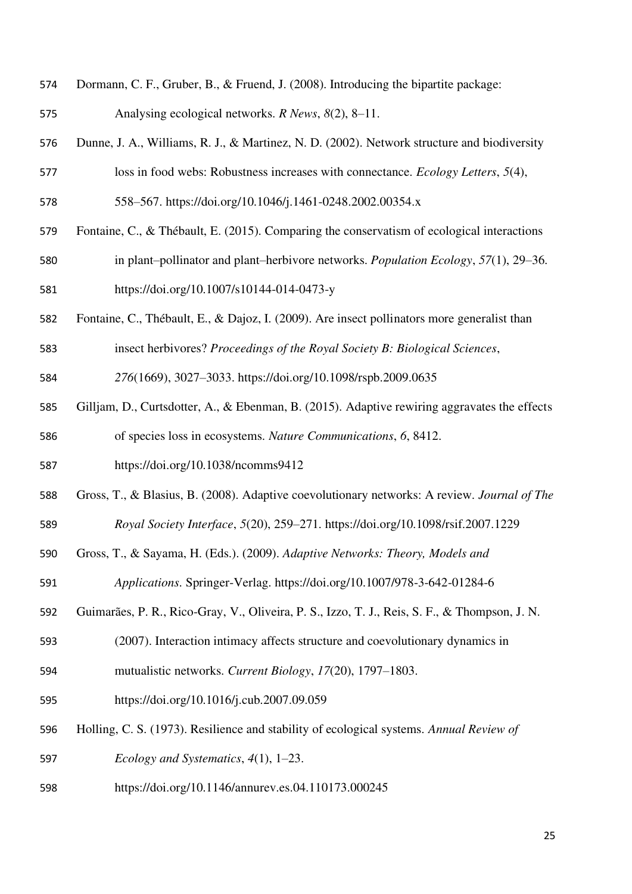- Dormann, C. F., Gruber, B., & Fruend, J. (2008). Introducing the bipartite package:
- Analysing ecological networks. *R News*, *8*(2), 8–11.
- Dunne, J. A., Williams, R. J., & Martinez, N. D. (2002). Network structure and biodiversity
- loss in food webs: Robustness increases with connectance. *Ecology Letters*, *5*(4),
- 558–567. https://doi.org/10.1046/j.1461-0248.2002.00354.x
- Fontaine, C., & Thébault, E. (2015). Comparing the conservatism of ecological interactions
- in plant–pollinator and plant–herbivore networks. *Population Ecology*, *57*(1), 29–36. https://doi.org/10.1007/s10144-014-0473-y
- Fontaine, C., Thébault, E., & Dajoz, I. (2009). Are insect pollinators more generalist than

insect herbivores? *Proceedings of the Royal Society B: Biological Sciences*,

*276*(1669), 3027–3033. https://doi.org/10.1098/rspb.2009.0635

- Gilljam, D., Curtsdotter, A., & Ebenman, B. (2015). Adaptive rewiring aggravates the effects of species loss in ecosystems. *Nature Communications*, *6*, 8412.
- https://doi.org/10.1038/ncomms9412
- Gross, T., & Blasius, B. (2008). Adaptive coevolutionary networks: A review. *Journal of The Royal Society Interface*, *5*(20), 259–271. https://doi.org/10.1098/rsif.2007.1229
- Gross, T., & Sayama, H. (Eds.). (2009). *Adaptive Networks: Theory, Models and*

*Applications*. Springer-Verlag. https://doi.org/10.1007/978-3-642-01284-6

- Guimarães, P. R., Rico-Gray, V., Oliveira, P. S., Izzo, T. J., Reis, S. F., & Thompson, J. N.
- (2007). Interaction intimacy affects structure and coevolutionary dynamics in
- mutualistic networks. *Current Biology*, *17*(20), 1797–1803.
- https://doi.org/10.1016/j.cub.2007.09.059
- Holling, C. S. (1973). Resilience and stability of ecological systems. *Annual Review of Ecology and Systematics*, *4*(1), 1–23.
- https://doi.org/10.1146/annurev.es.04.110173.000245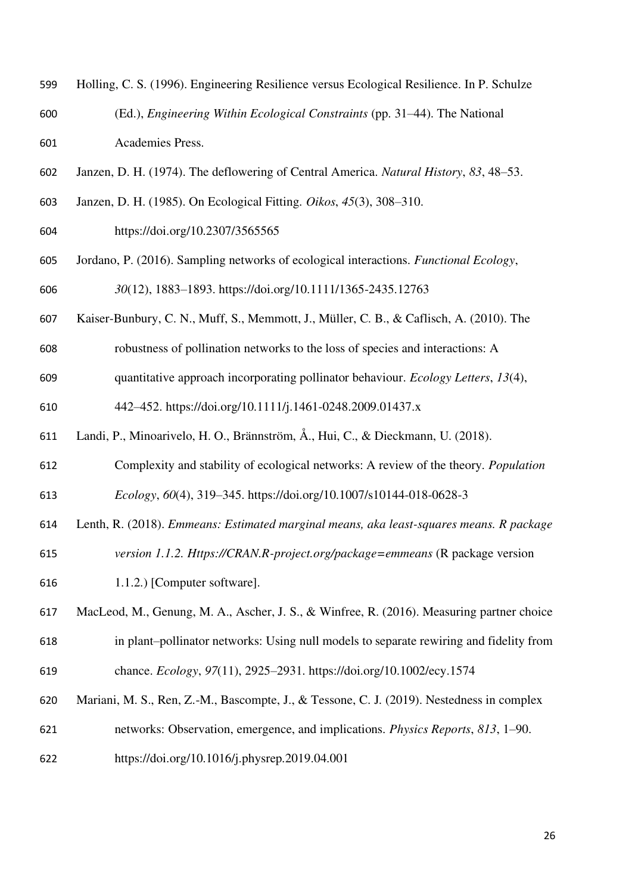- Holling, C. S. (1996). Engineering Resilience versus Ecological Resilience. In P. Schulze (Ed.), *Engineering Within Ecological Constraints* (pp. 31–44). The National Academies Press.
- Janzen, D. H. (1974). The deflowering of Central America. *Natural History*, *83*, 48–53.
- Janzen, D. H. (1985). On Ecological Fitting. *Oikos*, *45*(3), 308–310.
- https://doi.org/10.2307/3565565
- Jordano, P. (2016). Sampling networks of ecological interactions. *Functional Ecology*, *30*(12), 1883–1893. https://doi.org/10.1111/1365-2435.12763
- Kaiser-Bunbury, C. N., Muff, S., Memmott, J., Müller, C. B., & Caflisch, A. (2010). The
- robustness of pollination networks to the loss of species and interactions: A
- quantitative approach incorporating pollinator behaviour. *Ecology Letters*, *13*(4),

442–452. https://doi.org/10.1111/j.1461-0248.2009.01437.x

- Landi, P., Minoarivelo, H. O., Brännström, Å., Hui, C., & Dieckmann, U. (2018).
- Complexity and stability of ecological networks: A review of the theory. *Population*

*Ecology*, *60*(4), 319–345. https://doi.org/10.1007/s10144-018-0628-3

Lenth, R. (2018). *Emmeans: Estimated marginal means, aka least-squares means. R package* 

- *version 1.1.2. Https://CRAN.R-project.org/package=emmeans* (R package version
- 1.1.2.) [Computer software].

 MacLeod, M., Genung, M. A., Ascher, J. S., & Winfree, R. (2016). Measuring partner choice in plant–pollinator networks: Using null models to separate rewiring and fidelity from

chance. *Ecology*, *97*(11), 2925–2931. https://doi.org/10.1002/ecy.1574

- Mariani, M. S., Ren, Z.-M., Bascompte, J., & Tessone, C. J. (2019). Nestedness in complex networks: Observation, emergence, and implications. *Physics Reports*, *813*, 1–90.
- https://doi.org/10.1016/j.physrep.2019.04.001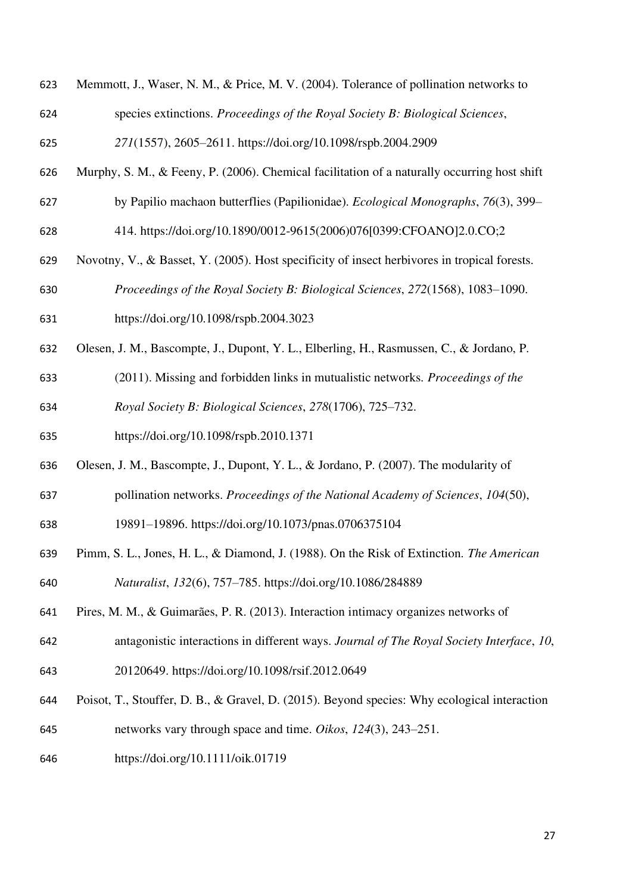- Memmott, J., Waser, N. M., & Price, M. V. (2004). Tolerance of pollination networks to
- species extinctions. *Proceedings of the Royal Society B: Biological Sciences*,

*271*(1557), 2605–2611. https://doi.org/10.1098/rspb.2004.2909

- Murphy, S. M., & Feeny, P. (2006). Chemical facilitation of a naturally occurring host shift
- by Papilio machaon butterflies (Papilionidae). *Ecological Monographs*, *76*(3), 399–
- 414. https://doi.org/10.1890/0012-9615(2006)076[0399:CFOANO]2.0.CO;2
- Novotny, V., & Basset, Y. (2005). Host specificity of insect herbivores in tropical forests.

*Proceedings of the Royal Society B: Biological Sciences*, *272*(1568), 1083–1090.

- https://doi.org/10.1098/rspb.2004.3023
- Olesen, J. M., Bascompte, J., Dupont, Y. L., Elberling, H., Rasmussen, C., & Jordano, P.
- (2011). Missing and forbidden links in mutualistic networks. *Proceedings of the Royal Society B: Biological Sciences*, *278*(1706), 725–732.
- https://doi.org/10.1098/rspb.2010.1371
- Olesen, J. M., Bascompte, J., Dupont, Y. L., & Jordano, P. (2007). The modularity of
- pollination networks. *Proceedings of the National Academy of Sciences*, *104*(50),
- 19891–19896. https://doi.org/10.1073/pnas.0706375104
- Pimm, S. L., Jones, H. L., & Diamond, J. (1988). On the Risk of Extinction. *The American Naturalist*, *132*(6), 757–785. https://doi.org/10.1086/284889
- Pires, M. M., & Guimarães, P. R. (2013). Interaction intimacy organizes networks of
- antagonistic interactions in different ways. *Journal of The Royal Society Interface*, *10*,
- 20120649. https://doi.org/10.1098/rsif.2012.0649
- Poisot, T., Stouffer, D. B., & Gravel, D. (2015). Beyond species: Why ecological interaction
- networks vary through space and time. *Oikos*, *124*(3), 243–251.
- https://doi.org/10.1111/oik.01719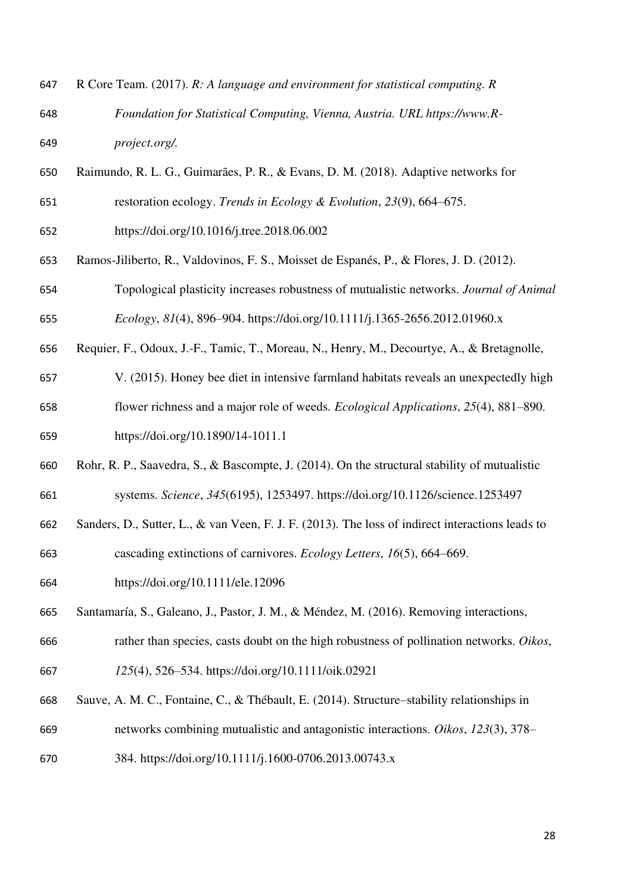| 647 | R Core Team. (2017). R: A language and environment for statistical computing. R |
|-----|---------------------------------------------------------------------------------|
| 648 | Foundation for Statistical Computing, Vienna, Austria. URL https://www.R-       |
| 649 | <i>project.org/.</i>                                                            |

- Raimundo, R. L. G., Guimarães, P. R., & Evans, D. M. (2018). Adaptive networks for restoration ecology. *Trends in Ecology & Evolution*, *23*(9), 664–675.
- https://doi.org/10.1016/j.tree.2018.06.002
- Ramos-Jiliberto, R., Valdovinos, F. S., Moisset de Espanés, P., & Flores, J. D. (2012).
- Topological plasticity increases robustness of mutualistic networks. *Journal of Animal Ecology*, *81*(4), 896–904. https://doi.org/10.1111/j.1365-2656.2012.01960.x
- Requier, F., Odoux, J.-F., Tamic, T., Moreau, N., Henry, M., Decourtye, A., & Bretagnolle,
- V. (2015). Honey bee diet in intensive farmland habitats reveals an unexpectedly high flower richness and a major role of weeds. *Ecological Applications*, *25*(4), 881–890.
- https://doi.org/10.1890/14-1011.1
- Rohr, R. P., Saavedra, S., & Bascompte, J. (2014). On the structural stability of mutualistic systems. *Science*, *345*(6195), 1253497. https://doi.org/10.1126/science.1253497
- Sanders, D., Sutter, L., & van Veen, F. J. F. (2013). The loss of indirect interactions leads to
- cascading extinctions of carnivores. *Ecology Letters*, *16*(5), 664–669.
- https://doi.org/10.1111/ele.12096
- Santamaría, S., Galeano, J., Pastor, J. M., & Méndez, M. (2016). Removing interactions,
- rather than species, casts doubt on the high robustness of pollination networks. *Oikos*,
- *125*(4), 526–534. https://doi.org/10.1111/oik.02921
- Sauve, A. M. C., Fontaine, C., & Thébault, E. (2014). Structure–stability relationships in networks combining mutualistic and antagonistic interactions. *Oikos*, *123*(3), 378–
- 384. https://doi.org/10.1111/j.1600-0706.2013.00743.x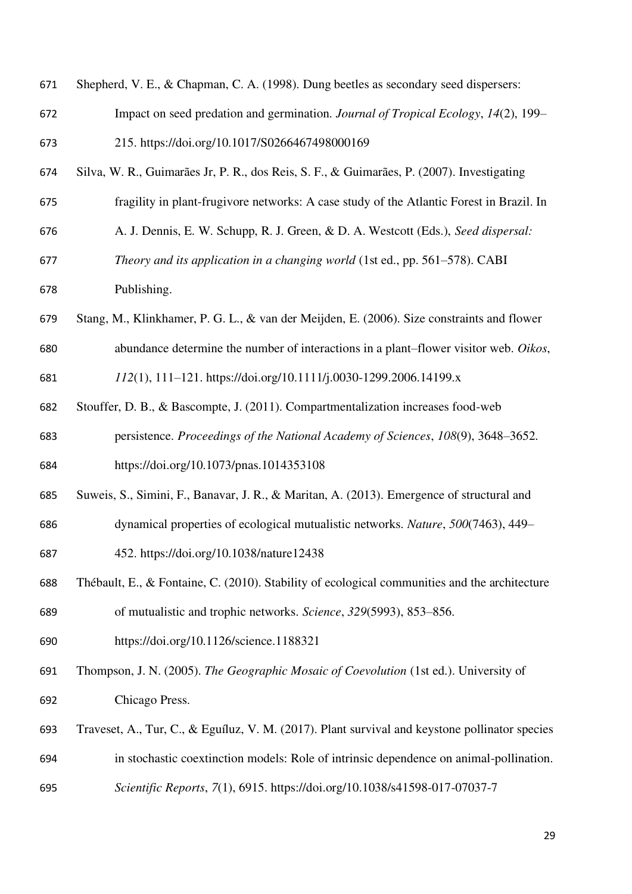| 671 | Shepherd, V. E., & Chapman, C. A. (1998). Dung beetles as secondary seed dispersers:      |
|-----|-------------------------------------------------------------------------------------------|
| 672 | Impact on seed predation and germination. Journal of Tropical Ecology, 14(2), 199–        |
| 673 | 215. https://doi.org/10.1017/S0266467498000169                                            |
| 674 | Silva, W. R., Guimarães Jr, P. R., dos Reis, S. F., & Guimarães, P. (2007). Investigating |
| 675 | fragility in plant-frugivore networks: A case study of the Atlantic Forest in Brazil. In  |
| 676 | A. J. Dennis, E. W. Schupp, R. J. Green, & D. A. Westcott (Eds.), Seed dispersal:         |

- *Theory and its application in a changing world* (1st ed., pp. 561–578). CABI Publishing.
- Stang, M., Klinkhamer, P. G. L., & van der Meijden, E. (2006). Size constraints and flower abundance determine the number of interactions in a plant–flower visitor web. *Oikos*,

*112*(1), 111–121. https://doi.org/10.1111/j.0030-1299.2006.14199.x

 Stouffer, D. B., & Bascompte, J. (2011). Compartmentalization increases food-web persistence. *Proceedings of the National Academy of Sciences*, *108*(9), 3648–3652.

https://doi.org/10.1073/pnas.1014353108

- Suweis, S., Simini, F., Banavar, J. R., & Maritan, A. (2013). Emergence of structural and
- dynamical properties of ecological mutualistic networks. *Nature*, *500*(7463), 449–

452. https://doi.org/10.1038/nature12438

 Thébault, E., & Fontaine, C. (2010). Stability of ecological communities and the architecture of mutualistic and trophic networks. *Science*, *329*(5993), 853–856.

https://doi.org/10.1126/science.1188321

- Thompson, J. N. (2005). *The Geographic Mosaic of Coevolution* (1st ed.). University of Chicago Press.
- Traveset, A., Tur, C., & Eguíluz, V. M. (2017). Plant survival and keystone pollinator species in stochastic coextinction models: Role of intrinsic dependence on animal-pollination.
- *Scientific Reports*, *7*(1), 6915. https://doi.org/10.1038/s41598-017-07037-7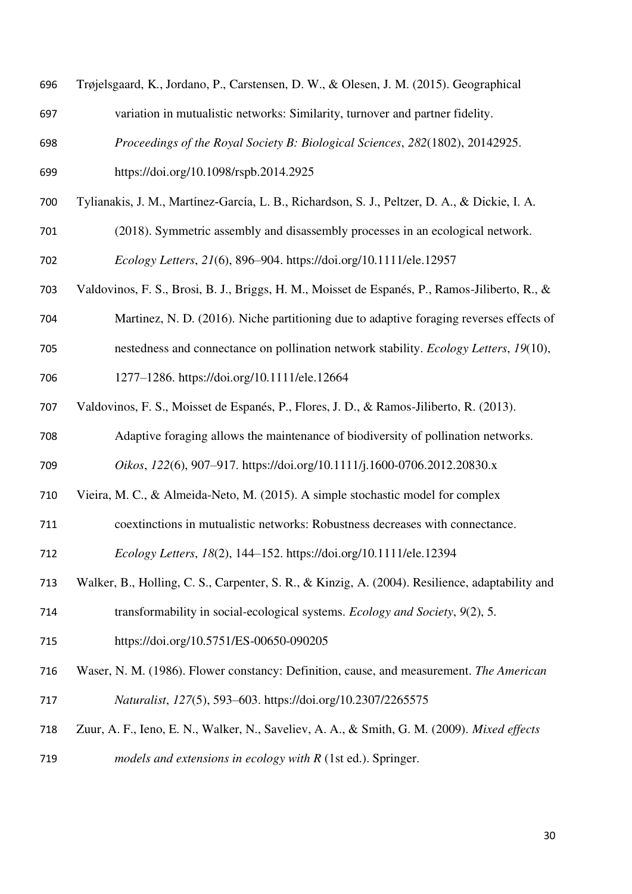| 696 | Trøjelsgaard, K., Jordano, P., Carstensen, D. W., & Olesen, J. M. (2015). Geographical         |
|-----|------------------------------------------------------------------------------------------------|
| 697 | variation in mutualistic networks: Similarity, turnover and partner fidelity.                  |
| 698 | Proceedings of the Royal Society B: Biological Sciences, 282(1802), 20142925.                  |
| 699 | https://doi.org/10.1098/rspb.2014.2925                                                         |
| 700 | Tylianakis, J. M., Martínez-García, L. B., Richardson, S. J., Peltzer, D. A., & Dickie, I. A.  |
| 701 | (2018). Symmetric assembly and disassembly processes in an ecological network.                 |
| 702 | Ecology Letters, 21(6), 896–904. https://doi.org/10.1111/ele.12957                             |
| 703 | Valdovinos, F. S., Brosi, B. J., Briggs, H. M., Moisset de Espanés, P., Ramos-Jiliberto, R., & |
| 704 | Martinez, N. D. (2016). Niche partitioning due to adaptive foraging reverses effects of        |
| 705 | nestedness and connectance on pollination network stability. <i>Ecology Letters</i> , 19(10),  |

- 
- 

1277–1286. https://doi.org/10.1111/ele.12664

Valdovinos, F. S., Moisset de Espanés, P., Flores, J. D., & Ramos-Jiliberto, R. (2013).

Adaptive foraging allows the maintenance of biodiversity of pollination networks.

*Oikos*, *122*(6), 907–917. https://doi.org/10.1111/j.1600-0706.2012.20830.x

- Vieira, M. C., & Almeida-Neto, M. (2015). A simple stochastic model for complex
- coextinctions in mutualistic networks: Robustness decreases with connectance.

*Ecology Letters*, *18*(2), 144–152. https://doi.org/10.1111/ele.12394

- Walker, B., Holling, C. S., Carpenter, S. R., & Kinzig, A. (2004). Resilience, adaptability and
- transformability in social-ecological systems. *Ecology and Society*, *9*(2), 5.
- https://doi.org/10.5751/ES-00650-090205
- Waser, N. M. (1986). Flower constancy: Definition, cause, and measurement. *The American Naturalist*, *127*(5), 593–603. https://doi.org/10.2307/2265575
- Zuur, A. F., Ieno, E. N., Walker, N., Saveliev, A. A., & Smith, G. M. (2009). *Mixed effects*
- *models and extensions in ecology with R* (1st ed.). Springer.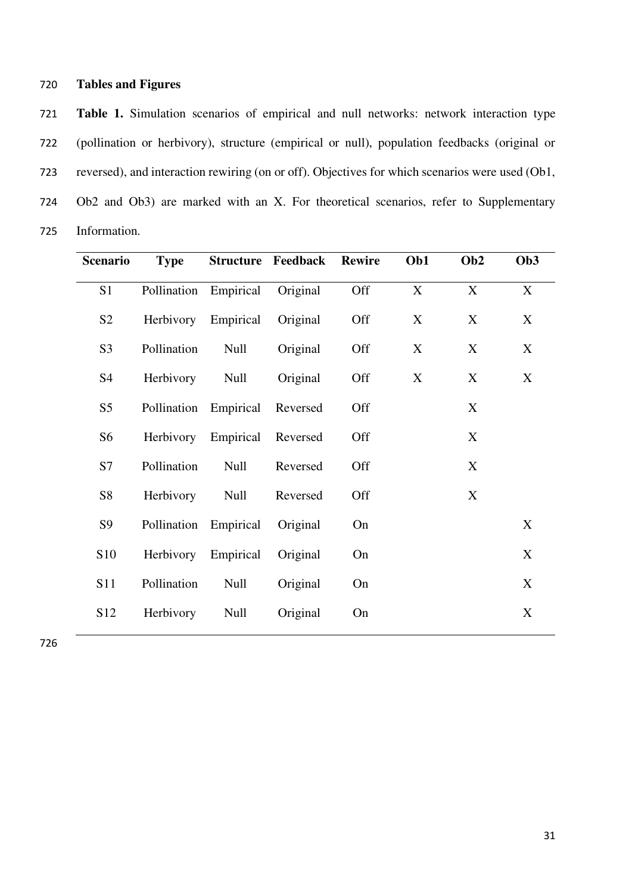## 720 **Tables and Figures**

721 **Table 1.** Simulation scenarios of empirical and null networks: network interaction type 722 (pollination or herbivory), structure (empirical or null), population feedbacks (original or 723 reversed), and interaction rewiring (on or off). Objectives for which scenarios were used (Ob1, 724 Ob2 and Ob3) are marked with an X. For theoretical scenarios, refer to Supplementary 725 Information.

| <b>Scenario</b> | <b>Type</b> |             | <b>Structure Feedback</b> | <b>Rewire</b> | Ob1 | Ob <sub>2</sub>           | Ob <sub>3</sub> |
|-----------------|-------------|-------------|---------------------------|---------------|-----|---------------------------|-----------------|
| S <sub>1</sub>  | Pollination | Empirical   | Original                  | Off           | X   | X                         | X               |
| S <sub>2</sub>  | Herbivory   | Empirical   | Original                  | Off           | X   | X                         | X               |
| S <sub>3</sub>  | Pollination | <b>Null</b> | Original                  | Off           | X   | X                         | X               |
| S <sub>4</sub>  | Herbivory   | Null        | Original                  | Off           | X   | X                         | X               |
| S <sub>5</sub>  | Pollination | Empirical   | Reversed                  | Off           |     | X                         |                 |
| S <sub>6</sub>  | Herbivory   | Empirical   | Reversed                  | Off           |     | X                         |                 |
| S7              | Pollination | <b>Null</b> | Reversed                  | Off           |     | $\boldsymbol{\mathrm{X}}$ |                 |
| S8              | Herbivory   | <b>Null</b> | Reversed                  | Off           |     | X                         |                 |
| S <sub>9</sub>  | Pollination | Empirical   | Original                  | On            |     |                           | X               |
| <b>S10</b>      | Herbivory   | Empirical   | Original                  | On            |     |                           | X               |
| S <sub>11</sub> | Pollination | <b>Null</b> | Original                  | On            |     |                           | X               |
| S <sub>12</sub> | Herbivory   | <b>Null</b> | Original                  | On            |     |                           | X               |
|                 |             |             |                           |               |     |                           |                 |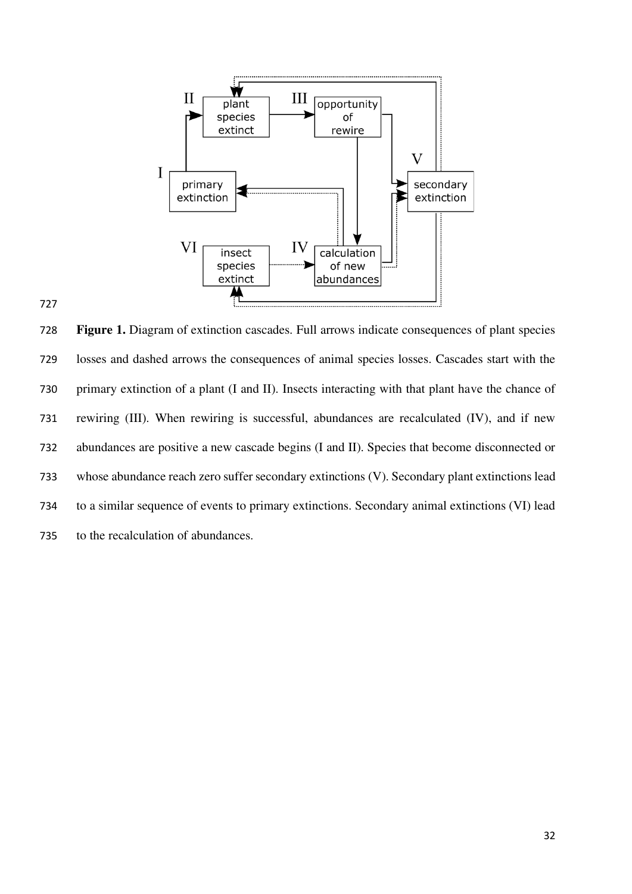

 **Figure 1.** Diagram of extinction cascades. Full arrows indicate consequences of plant species losses and dashed arrows the consequences of animal species losses. Cascades start with the primary extinction of a plant (I and II). Insects interacting with that plant have the chance of rewiring (III). When rewiring is successful, abundances are recalculated (IV), and if new abundances are positive a new cascade begins (I and II). Species that become disconnected or whose abundance reach zero suffer secondary extinctions (V). Secondary plant extinctions lead to a similar sequence of events to primary extinctions. Secondary animal extinctions (VI) lead to the recalculation of abundances.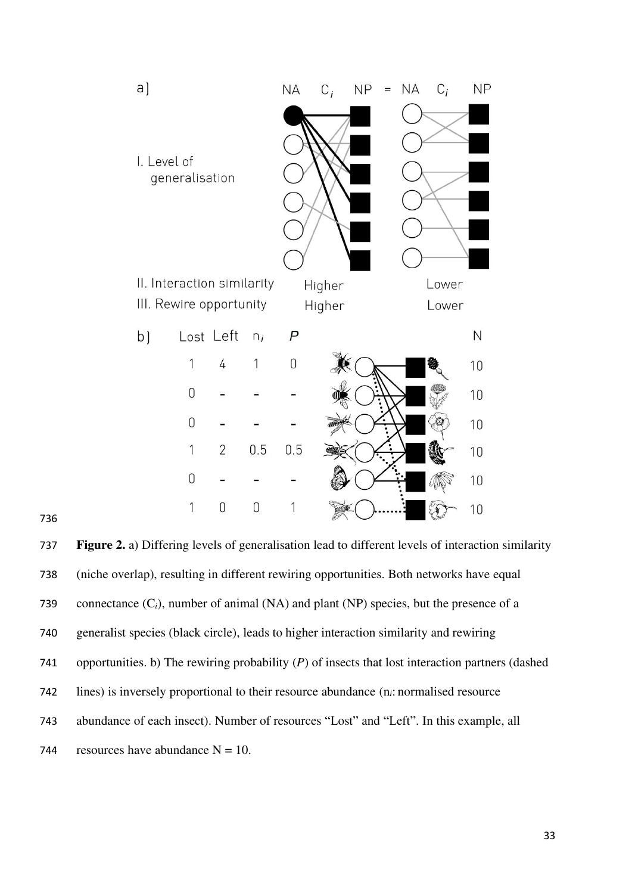

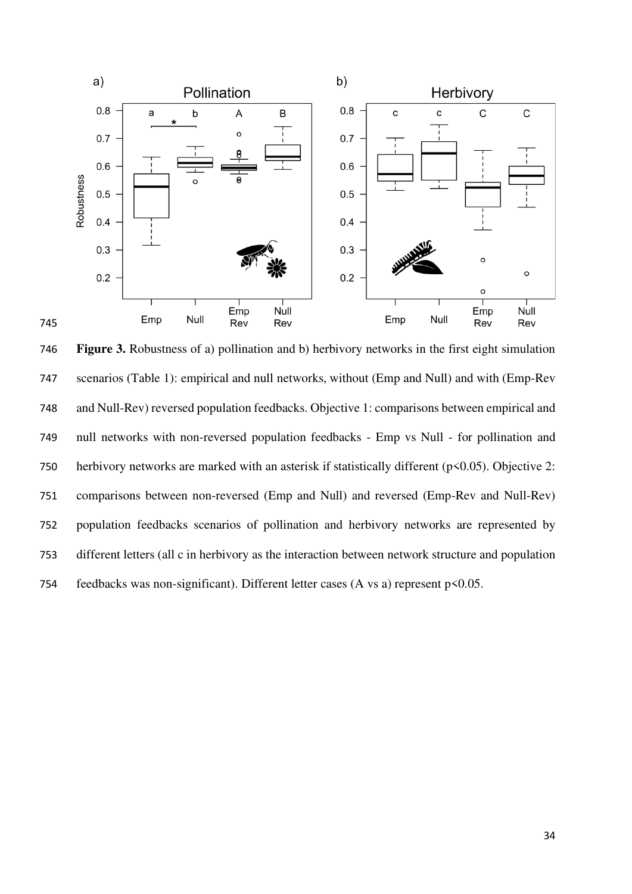

 **Figure 3.** Robustness of a) pollination and b) herbivory networks in the first eight simulation scenarios (Table 1): empirical and null networks, without (Emp and Null) and with (Emp-Rev and Null-Rev) reversed population feedbacks. Objective 1: comparisons between empirical and null networks with non-reversed population feedbacks - Emp vs Null - for pollination and 750 herbivory networks are marked with an asterisk if statistically different (p<0.05). Objective 2: comparisons between non-reversed (Emp and Null) and reversed (Emp-Rev and Null-Rev) population feedbacks scenarios of pollination and herbivory networks are represented by different letters (all c in herbivory as the interaction between network structure and population feedbacks was non-significant). Different letter cases (A vs a) represent p<0.05.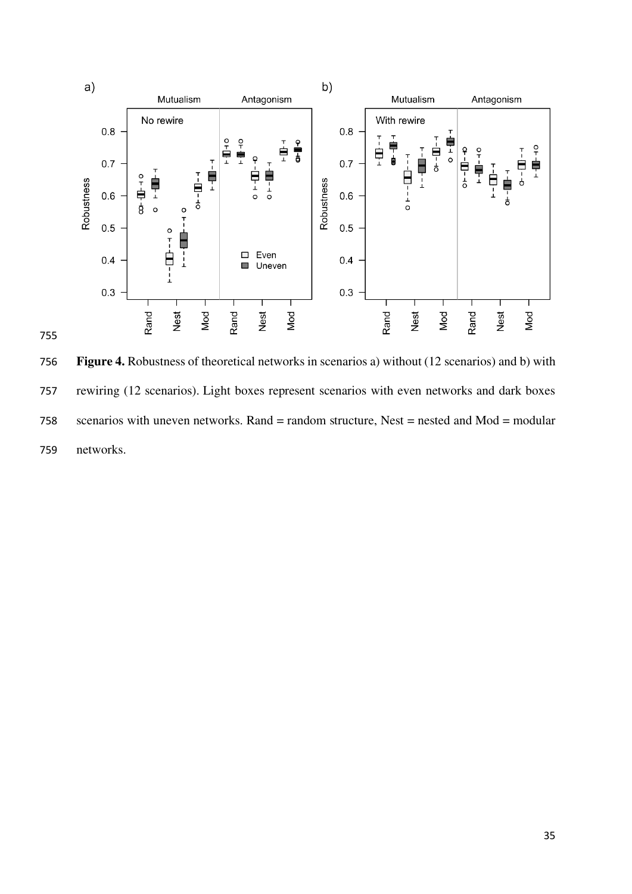

 **Figure 4.** Robustness of theoretical networks in scenarios a) without (12 scenarios) and b) with rewiring (12 scenarios). Light boxes represent scenarios with even networks and dark boxes scenarios with uneven networks. Rand = random structure, Nest = nested and Mod = modular networks.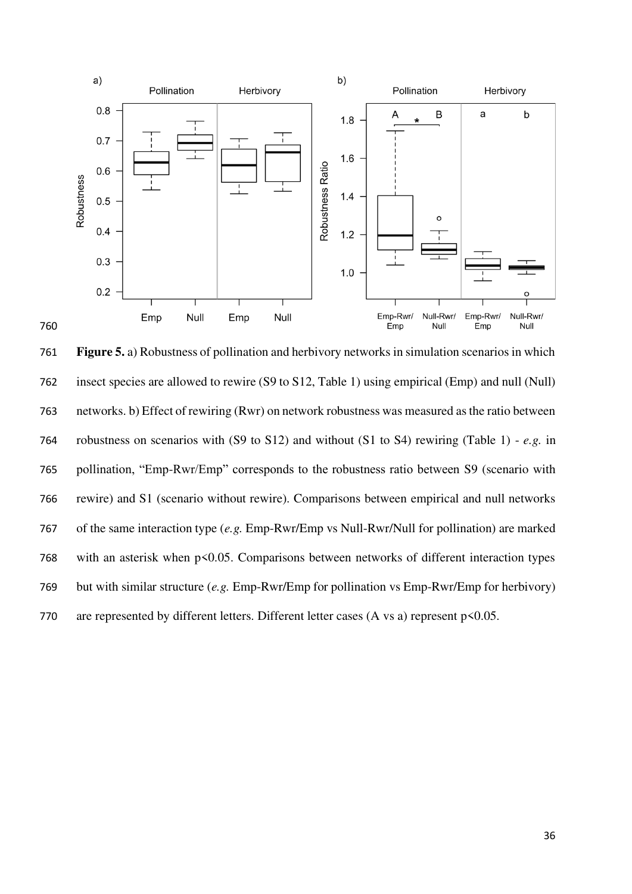

 **Figure 5.** a) Robustness of pollination and herbivory networks in simulation scenarios in which insect species are allowed to rewire (S9 to S12, Table 1) using empirical (Emp) and null (Null) networks. b) Effect of rewiring (Rwr) on network robustness was measured as the ratio between robustness on scenarios with (S9 to S12) and without (S1 to S4) rewiring (Table 1) - *e.g.* in pollination, "Emp-Rwr/Emp" corresponds to the robustness ratio between S9 (scenario with rewire) and S1 (scenario without rewire). Comparisons between empirical and null networks of the same interaction type (*e.g.* Emp-Rwr/Emp vs Null-Rwr/Null for pollination) are marked with an asterisk when p<0.05. Comparisons between networks of different interaction types but with similar structure (*e.g.* Emp-Rwr/Emp for pollination vs Emp-Rwr/Emp for herbivory) 770 are represented by different letters. Different letter cases  $(A \text{ vs a})$  represent  $p \le 0.05$ .